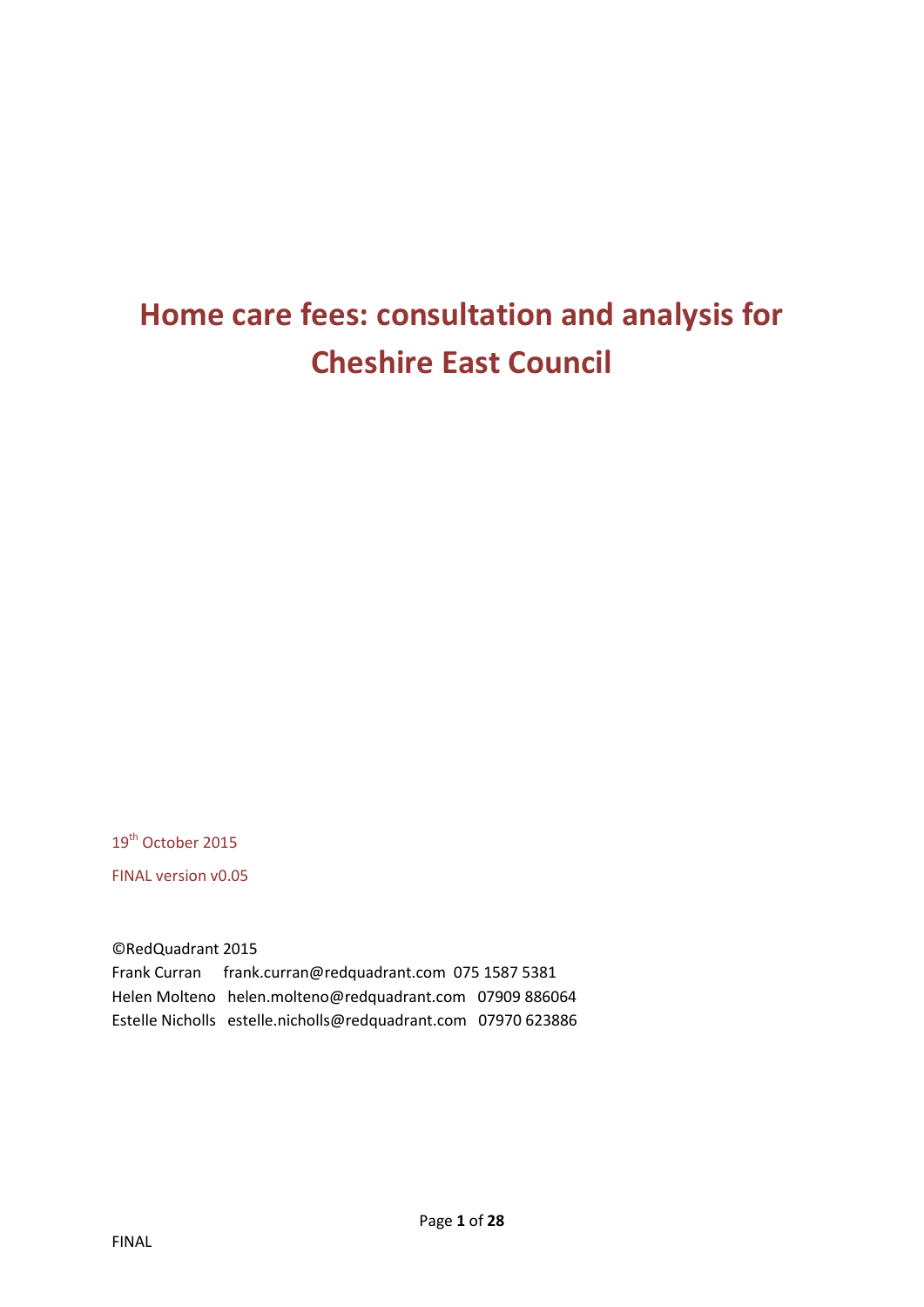# **Home care fees: consultation and analysis for Cheshire East Council**

19<sup>th</sup> October 2015

FINAL version v0.05

©RedQuadrant 2015

Frank Curran frank.curran@redquadrant.com 075 1587 5381 Helen Molteno helen.molteno@redquadrant.com 07909 886064 Estelle Nicholls estelle.nicholls@redquadrant.com 07970 623886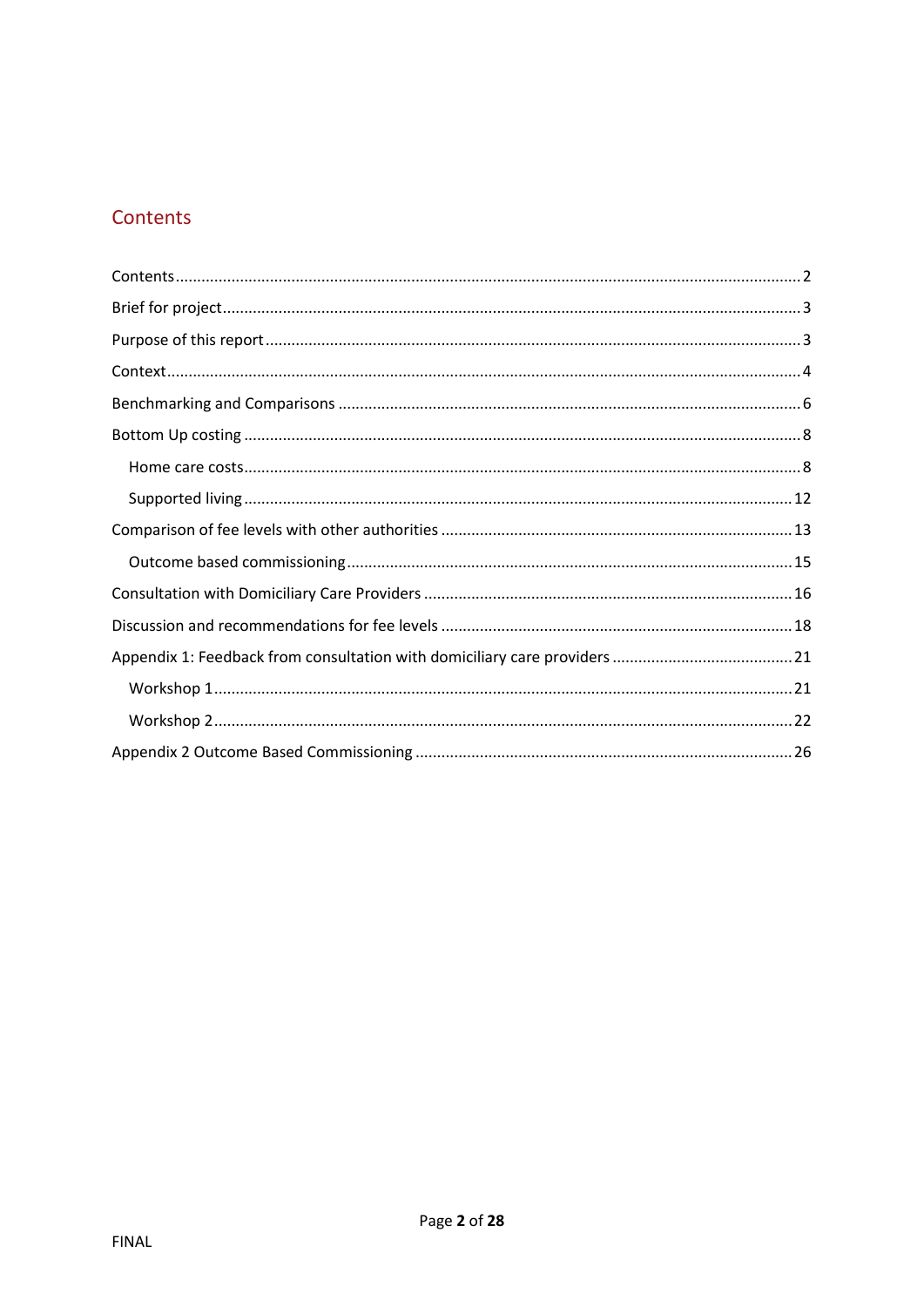# <span id="page-1-0"></span>Contents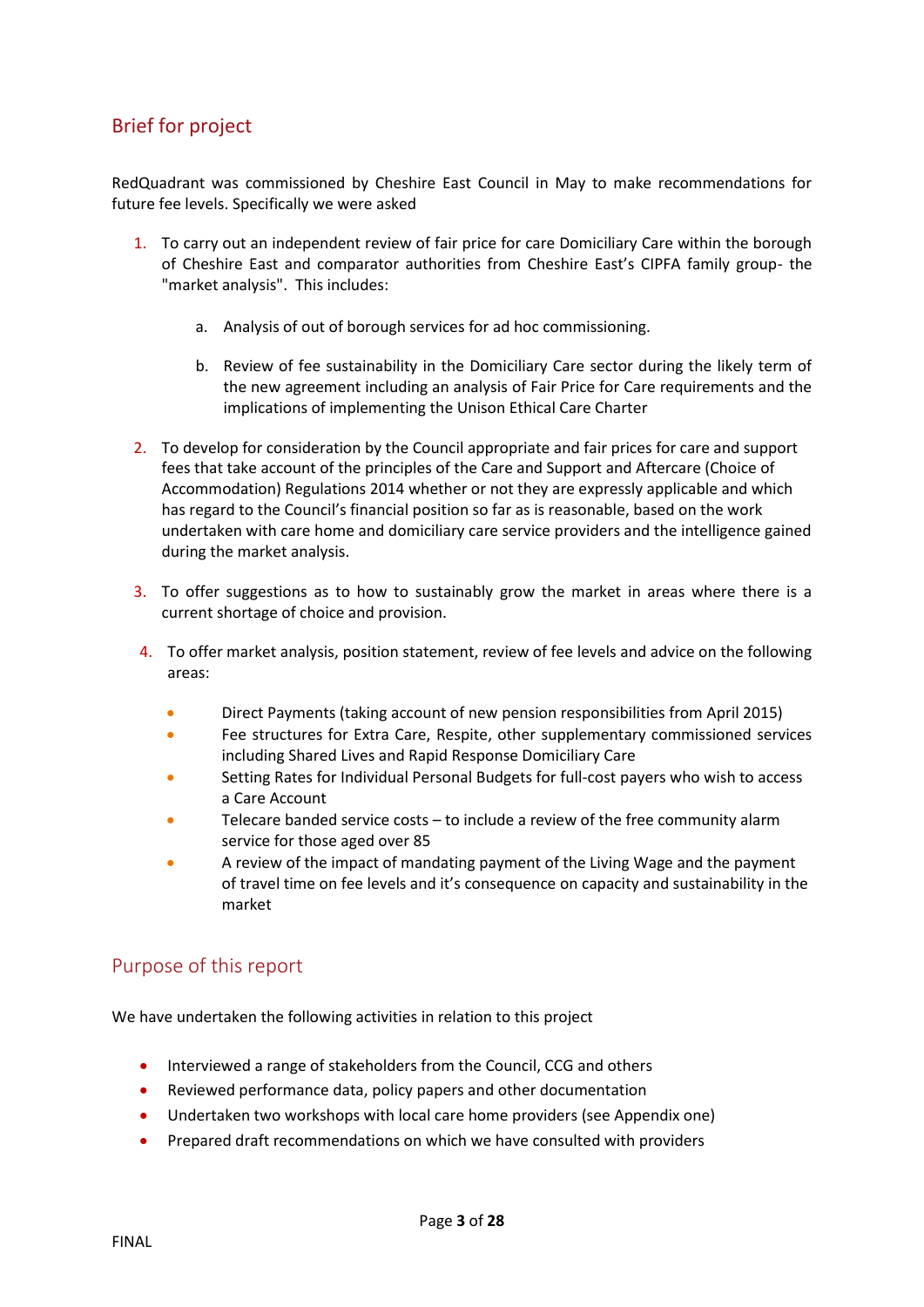# <span id="page-2-0"></span>Brief for project

RedQuadrant was commissioned by Cheshire East Council in May to make recommendations for future fee levels. Specifically we were asked

- 1. To carry out an independent review of fair price for care Domiciliary Care within the borough of Cheshire East and comparator authorities from Cheshire East's CIPFA family group- the "market analysis". This includes:
	- a. Analysis of out of borough services for ad hoc commissioning.
	- b. Review of fee sustainability in the Domiciliary Care sector during the likely term of the new agreement including an analysis of Fair Price for Care requirements and the implications of implementing the Unison Ethical Care Charter
- 2. To develop for consideration by the Council appropriate and fair prices for care and support fees that take account of the principles of the Care and Support and Aftercare (Choice of Accommodation) Regulations 2014 whether or not they are expressly applicable and which has regard to the Council's financial position so far as is reasonable, based on the work undertaken with care home and domiciliary care service providers and the intelligence gained during the market analysis.
- 3. To offer suggestions as to how to sustainably grow the market in areas where there is a current shortage of choice and provision.
- 4. To offer market analysis, position statement, review of fee levels and advice on the following areas:
	- Direct Payments (taking account of new pension responsibilities from April 2015)
	- Fee structures for Extra Care, Respite, other supplementary commissioned services including Shared Lives and Rapid Response Domiciliary Care
	- Setting Rates for Individual Personal Budgets for full-cost payers who wish to access a Care Account
	- Telecare banded service costs to include a review of the free community alarm service for those aged over 85
	- A review of the impact of mandating payment of the Living Wage and the payment of travel time on fee levels and it's consequence on capacity and sustainability in the market

## <span id="page-2-1"></span>Purpose of this report

We have undertaken the following activities in relation to this project

- Interviewed a range of stakeholders from the Council, CCG and others
- Reviewed performance data, policy papers and other documentation
- Undertaken two workshops with local care home providers (see Appendix one)
- **•** Prepared draft recommendations on which we have consulted with providers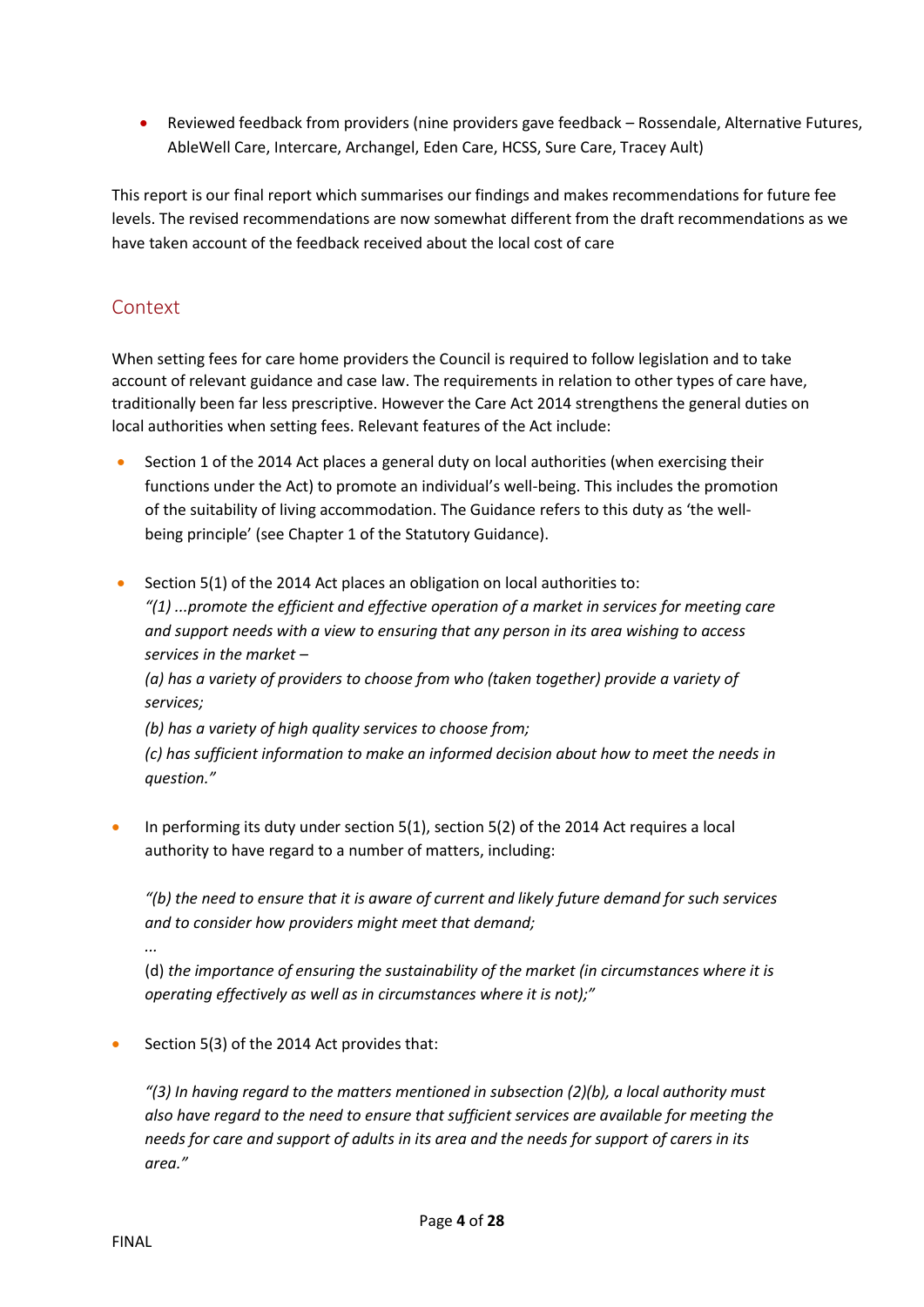Reviewed feedback from providers (nine providers gave feedback – Rossendale, Alternative Futures, AbleWell Care, Intercare, Archangel, Eden Care, HCSS, Sure Care, Tracey Ault)

This report is our final report which summarises our findings and makes recommendations for future fee levels. The revised recommendations are now somewhat different from the draft recommendations as we have taken account of the feedback received about the local cost of care

# <span id="page-3-0"></span>**Context**

When setting fees for care home providers the Council is required to follow legislation and to take account of relevant guidance and case law. The requirements in relation to other types of care have, traditionally been far less prescriptive. However the Care Act 2014 strengthens the general duties on local authorities when setting fees. Relevant features of the Act include:

- Section 1 of the 2014 Act places a general duty on local authorities (when exercising their functions under the Act) to promote an individual's well-being. This includes the promotion of the suitability of living accommodation. The Guidance refers to this duty as 'the wellbeing principle' (see Chapter 1 of the Statutory Guidance).
- Section 5(1) of the 2014 Act places an obligation on local authorities to: *"(1) ...promote the efficient and effective operation of a market in services for meeting care and support needs with a view to ensuring that any person in its area wishing to access services in the market –*

*(a) has a variety of providers to choose from who (taken together) provide a variety of services;* 

*(b) has a variety of high quality services to choose from;* 

*(c) has sufficient information to make an informed decision about how to meet the needs in question."* 

 In performing its duty under section 5(1), section 5(2) of the 2014 Act requires a local authority to have regard to a number of matters, including:

*"(b) the need to ensure that it is aware of current and likely future demand for such services and to consider how providers might meet that demand;* 

*...* 

(d) *the importance of ensuring the sustainability of the market (in circumstances where it is operating effectively as well as in circumstances where it is not);"* 

Section 5(3) of the 2014 Act provides that:

*"(3) In having regard to the matters mentioned in subsection (2)(b), a local authority must also have regard to the need to ensure that sufficient services are available for meeting the needs for care and support of adults in its area and the needs for support of carers in its area."*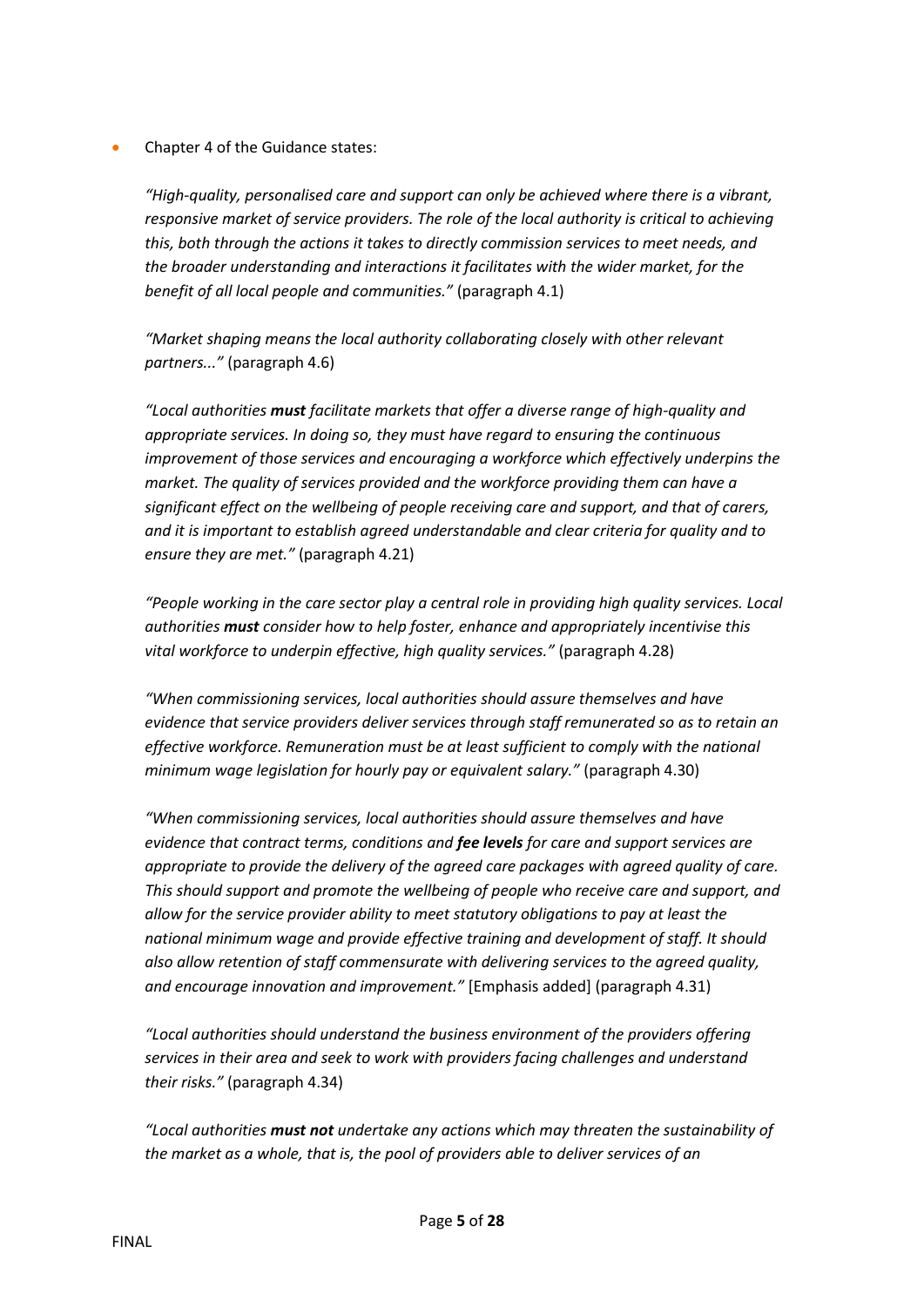Chapter 4 of the Guidance states:

*"High-quality, personalised care and support can only be achieved where there is a vibrant, responsive market of service providers. The role of the local authority is critical to achieving this, both through the actions it takes to directly commission services to meet needs, and the broader understanding and interactions it facilitates with the wider market, for the benefit of all local people and communities."* (paragraph 4.1)

*"Market shaping means the local authority collaborating closely with other relevant partners..."* (paragraph 4.6)

*"Local authorities must facilitate markets that offer a diverse range of high-quality and appropriate services. In doing so, they must have regard to ensuring the continuous improvement of those services and encouraging a workforce which effectively underpins the market. The quality of services provided and the workforce providing them can have a significant effect on the wellbeing of people receiving care and support, and that of carers, and it is important to establish agreed understandable and clear criteria for quality and to ensure they are met."* (paragraph 4.21)

*"People working in the care sector play a central role in providing high quality services. Local authorities must consider how to help foster, enhance and appropriately incentivise this vital workforce to underpin effective, high quality services."* (paragraph 4.28)

*"When commissioning services, local authorities should assure themselves and have evidence that service providers deliver services through staff remunerated so as to retain an effective workforce. Remuneration must be at least sufficient to comply with the national minimum wage legislation for hourly pay or equivalent salary."* (paragraph 4.30)

*"When commissioning services, local authorities should assure themselves and have evidence that contract terms, conditions and fee levels for care and support services are appropriate to provide the delivery of the agreed care packages with agreed quality of care. This should support and promote the wellbeing of people who receive care and support, and allow for the service provider ability to meet statutory obligations to pay at least the national minimum wage and provide effective training and development of staff. It should also allow retention of staff commensurate with delivering services to the agreed quality, and encourage innovation and improvement."* [Emphasis added] (paragraph 4.31)

*"Local authorities should understand the business environment of the providers offering services in their area and seek to work with providers facing challenges and understand their risks."* (paragraph 4.34)

*"Local authorities must not undertake any actions which may threaten the sustainability of the market as a whole, that is, the pool of providers able to deliver services of an*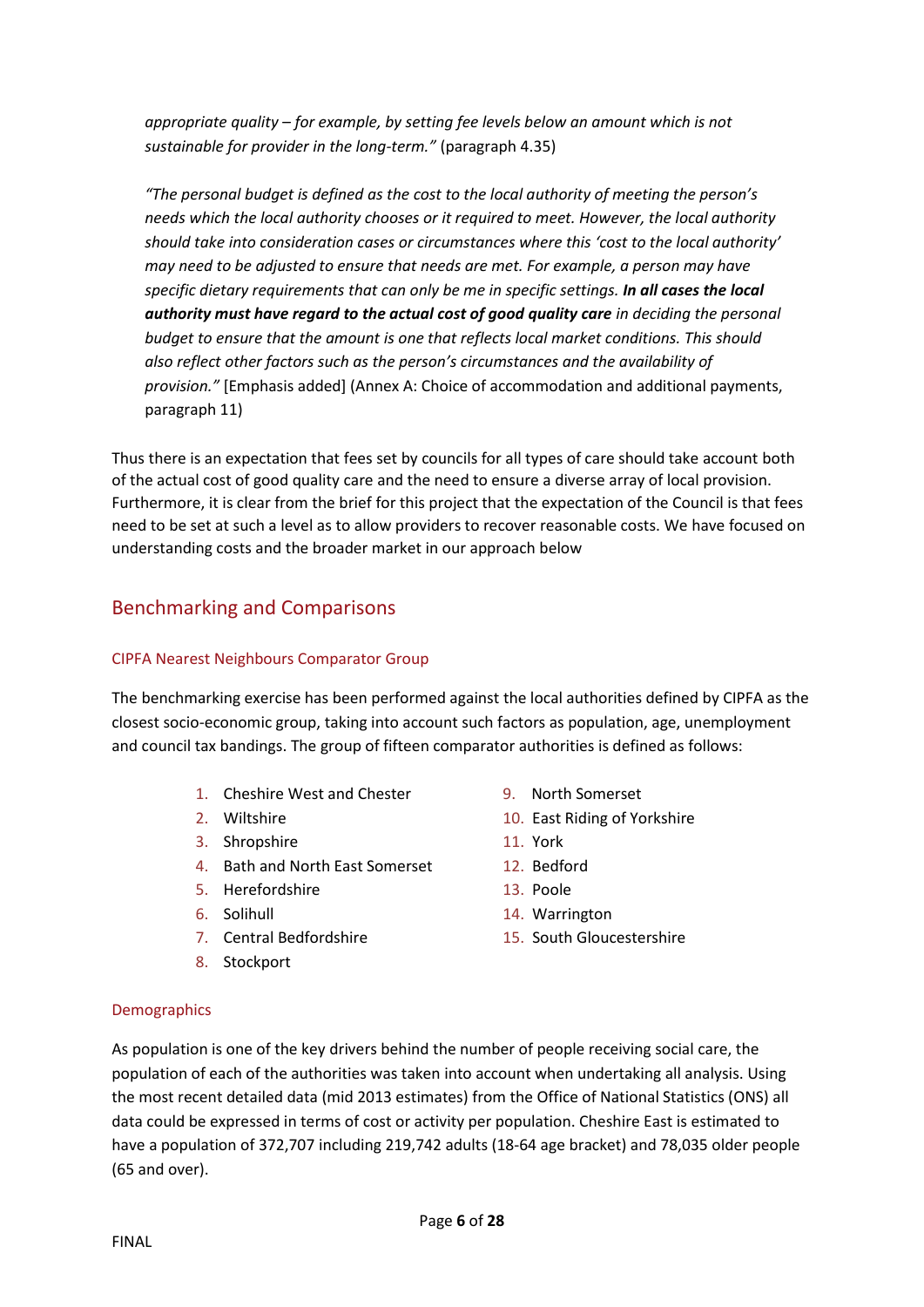*appropriate quality – for example, by setting fee levels below an amount which is not sustainable for provider in the long-term."* (paragraph 4.35)

*"The personal budget is defined as the cost to the local authority of meeting the person's needs which the local authority chooses or it required to meet. However, the local authority should take into consideration cases or circumstances where this 'cost to the local authority' may need to be adjusted to ensure that needs are met. For example, a person may have specific dietary requirements that can only be me in specific settings. In all cases the local authority must have regard to the actual cost of good quality care in deciding the personal budget to ensure that the amount is one that reflects local market conditions. This should also reflect other factors such as the person's circumstances and the availability of provision."* [Emphasis added] (Annex A: Choice of accommodation and additional payments, paragraph 11)

Thus there is an expectation that fees set by councils for all types of care should take account both of the actual cost of good quality care and the need to ensure a diverse array of local provision. Furthermore, it is clear from the brief for this project that the expectation of the Council is that fees need to be set at such a level as to allow providers to recover reasonable costs. We have focused on understanding costs and the broader market in our approach below

## <span id="page-5-0"></span>Benchmarking and Comparisons

## CIPFA Nearest Neighbours Comparator Group

The benchmarking exercise has been performed against the local authorities defined by CIPFA as the closest socio-economic group, taking into account such factors as population, age, unemployment and council tax bandings. The group of fifteen comparator authorities is defined as follows:

- 1. Cheshire West and Chester 9. North Somerset
- 
- 3. Shropshire 11. York
- 4. Bath and North East Somerset 12. Bedford
- 5. Herefordshire 13. Poole
- 
- 
- 8. Stockport
- 
- 2. Wiltshire 2. Wiltshire 2. Wiltshire 2. Wiltshire 2. Wiltshire 2. Wiltshire 2. Wilson 2. Manual 2. Manual 2. Manual 2. Manual 2. Manual 2. Manual 2. Manual 2. Manual 2. Manual 2. Manual 2. Manual 2. Manual 2. Manual 2. M
	-
	-
	-
- 6. Solihull 14. Warrington
- 7. Central Bedfordshire 15. South Gloucestershire

## Demographics

As population is one of the key drivers behind the number of people receiving social care, the population of each of the authorities was taken into account when undertaking all analysis. Using the most recent detailed data (mid 2013 estimates) from the Office of National Statistics (ONS) all data could be expressed in terms of cost or activity per population. Cheshire East is estimated to have a population of 372,707 including 219,742 adults (18-64 age bracket) and 78,035 older people (65 and over).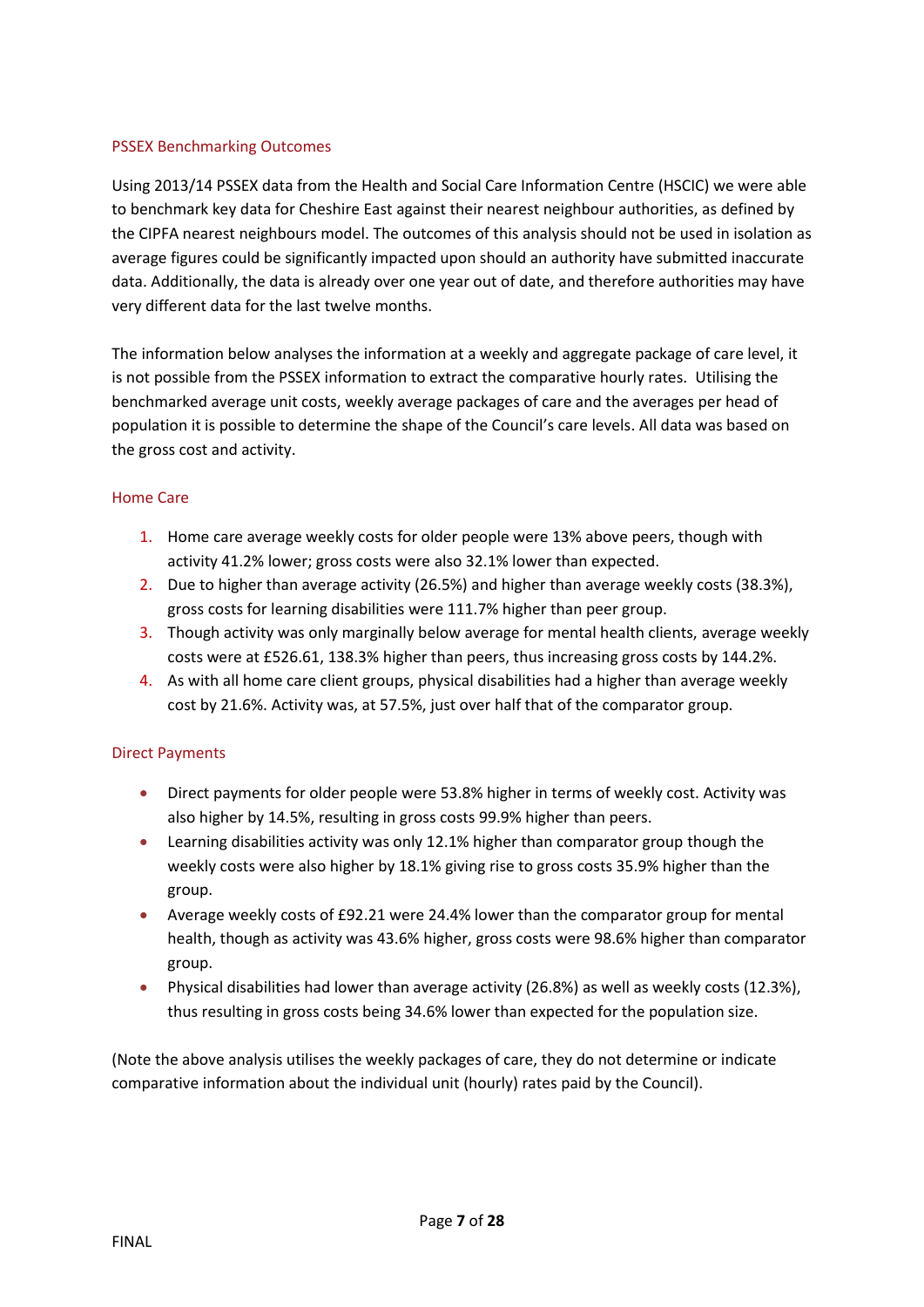## PSSEX Benchmarking Outcomes

Using 2013/14 PSSEX data from the Health and Social Care Information Centre (HSCIC) we were able to benchmark key data for Cheshire East against their nearest neighbour authorities, as defined by the CIPFA nearest neighbours model. The outcomes of this analysis should not be used in isolation as average figures could be significantly impacted upon should an authority have submitted inaccurate data. Additionally, the data is already over one year out of date, and therefore authorities may have very different data for the last twelve months.

The information below analyses the information at a weekly and aggregate package of care level, it is not possible from the PSSEX information to extract the comparative hourly rates. Utilising the benchmarked average unit costs, weekly average packages of care and the averages per head of population it is possible to determine the shape of the Council's care levels. All data was based on the gross cost and activity.

## Home Care

- 1. Home care average weekly costs for older people were 13% above peers, though with activity 41.2% lower; gross costs were also 32.1% lower than expected.
- 2. Due to higher than average activity (26.5%) and higher than average weekly costs (38.3%), gross costs for learning disabilities were 111.7% higher than peer group.
- 3. Though activity was only marginally below average for mental health clients, average weekly costs were at £526.61, 138.3% higher than peers, thus increasing gross costs by 144.2%.
- 4. As with all home care client groups, physical disabilities had a higher than average weekly cost by 21.6%. Activity was, at 57.5%, just over half that of the comparator group.

## Direct Payments

- Direct payments for older people were 53.8% higher in terms of weekly cost. Activity was also higher by 14.5%, resulting in gross costs 99.9% higher than peers.
- Learning disabilities activity was only 12.1% higher than comparator group though the weekly costs were also higher by 18.1% giving rise to gross costs 35.9% higher than the group.
- Average weekly costs of £92.21 were 24.4% lower than the comparator group for mental health, though as activity was 43.6% higher, gross costs were 98.6% higher than comparator group.
- Physical disabilities had lower than average activity (26.8%) as well as weekly costs (12.3%), thus resulting in gross costs being 34.6% lower than expected for the population size.

(Note the above analysis utilises the weekly packages of care, they do not determine or indicate comparative information about the individual unit (hourly) rates paid by the Council).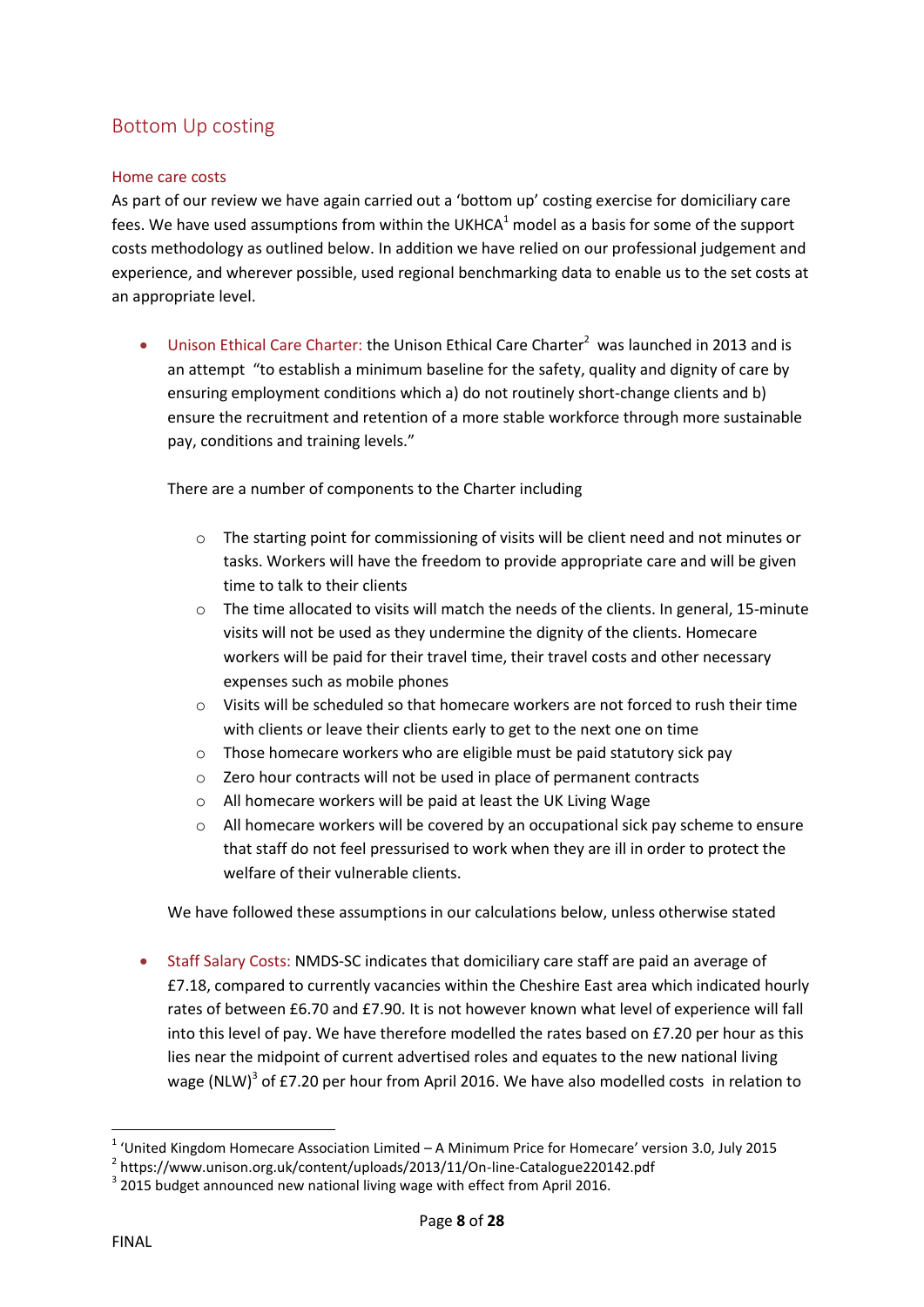# <span id="page-7-0"></span>Bottom Up costing

## <span id="page-7-1"></span>Home care costs

As part of our review we have again carried out a 'bottom up' costing exercise for domiciliary care fees. We have used assumptions from within the UKHCA $<sup>1</sup>$  model as a basis for some of the support</sup> costs methodology as outlined below. In addition we have relied on our professional judgement and experience, and wherever possible, used regional benchmarking data to enable us to the set costs at an appropriate level.

• Unison Ethical Care Charter: the Unison Ethical Care Charter<sup>2</sup> was launched in 2013 and is an attempt "to establish a minimum baseline for the safety, quality and dignity of care by ensuring employment conditions which a) do not routinely short-change clients and b) ensure the recruitment and retention of a more stable workforce through more sustainable pay, conditions and training levels."

There are a number of components to the Charter including

- $\circ$  The starting point for commissioning of visits will be client need and not minutes or tasks. Workers will have the freedom to provide appropriate care and will be given time to talk to their clients
- $\circ$  The time allocated to visits will match the needs of the clients. In general, 15-minute visits will not be used as they undermine the dignity of the clients. Homecare workers will be paid for their travel time, their travel costs and other necessary expenses such as mobile phones
- $\circ$  Visits will be scheduled so that homecare workers are not forced to rush their time with clients or leave their clients early to get to the next one on time
- o Those homecare workers who are eligible must be paid statutory sick pay
- o Zero hour contracts will not be used in place of permanent contracts
- o All homecare workers will be paid at least the UK Living Wage
- $\circ$  All homecare workers will be covered by an occupational sick pay scheme to ensure that staff do not feel pressurised to work when they are ill in order to protect the welfare of their vulnerable clients.

We have followed these assumptions in our calculations below, unless otherwise stated

 Staff Salary Costs: NMDS-SC indicates that domiciliary care staff are paid an average of £7.18, compared to currently vacancies within the Cheshire East area which indicated hourly rates of between £6.70 and £7.90. It is not however known what level of experience will fall into this level of pay. We have therefore modelled the rates based on £7.20 per hour as this lies near the midpoint of current advertised roles and equates to the new national living wage (NLW)<sup>3</sup> of £7.20 per hour from April 2016. We have also modelled costs in relation to

**<sup>.</sup>**  $1$  'United Kingdom Homecare Association Limited – A Minimum Price for Homecare' version 3.0, July 2015

<sup>&</sup>lt;sup>2</sup> https://www.unison.org.uk/content/uploads/2013/11/On-line-Catalogue220142.pdf

 $3$  2015 budget announced new national living wage with effect from April 2016.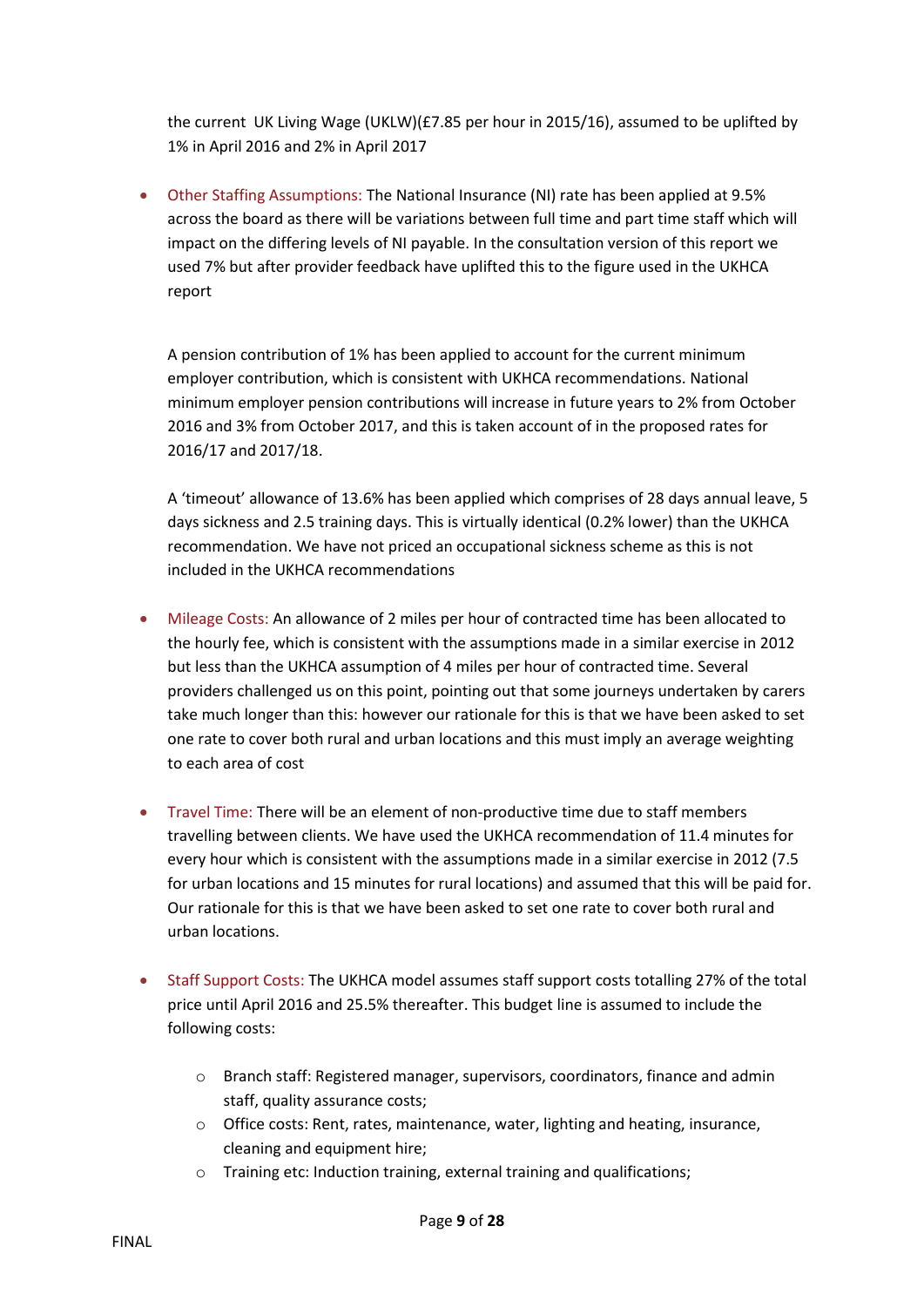the current UK Living Wage (UKLW)(£7.85 per hour in 2015/16), assumed to be uplifted by 1% in April 2016 and 2% in April 2017

 Other Staffing Assumptions: The National Insurance (NI) rate has been applied at 9.5% across the board as there will be variations between full time and part time staff which will impact on the differing levels of NI payable. In the consultation version of this report we used 7% but after provider feedback have uplifted this to the figure used in the UKHCA report

A pension contribution of 1% has been applied to account for the current minimum employer contribution, which is consistent with UKHCA recommendations. National minimum employer pension contributions will increase in future years to 2% from October 2016 and 3% from October 2017, and this is taken account of in the proposed rates for 2016/17 and 2017/18.

A 'timeout' allowance of 13.6% has been applied which comprises of 28 days annual leave, 5 days sickness and 2.5 training days. This is virtually identical (0.2% lower) than the UKHCA recommendation. We have not priced an occupational sickness scheme as this is not included in the UKHCA recommendations

- Mileage Costs: An allowance of 2 miles per hour of contracted time has been allocated to the hourly fee, which is consistent with the assumptions made in a similar exercise in 2012 but less than the UKHCA assumption of 4 miles per hour of contracted time. Several providers challenged us on this point, pointing out that some journeys undertaken by carers take much longer than this: however our rationale for this is that we have been asked to set one rate to cover both rural and urban locations and this must imply an average weighting to each area of cost
- Travel Time: There will be an element of non-productive time due to staff members travelling between clients. We have used the UKHCA recommendation of 11.4 minutes for every hour which is consistent with the assumptions made in a similar exercise in 2012 (7.5 for urban locations and 15 minutes for rural locations) and assumed that this will be paid for. Our rationale for this is that we have been asked to set one rate to cover both rural and urban locations.
- Staff Support Costs: The UKHCA model assumes staff support costs totalling 27% of the total price until April 2016 and 25.5% thereafter. This budget line is assumed to include the following costs:
	- o Branch staff: Registered manager, supervisors, coordinators, finance and admin staff, quality assurance costs;
	- o Office costs: Rent, rates, maintenance, water, lighting and heating, insurance, cleaning and equipment hire;
	- o Training etc: Induction training, external training and qualifications;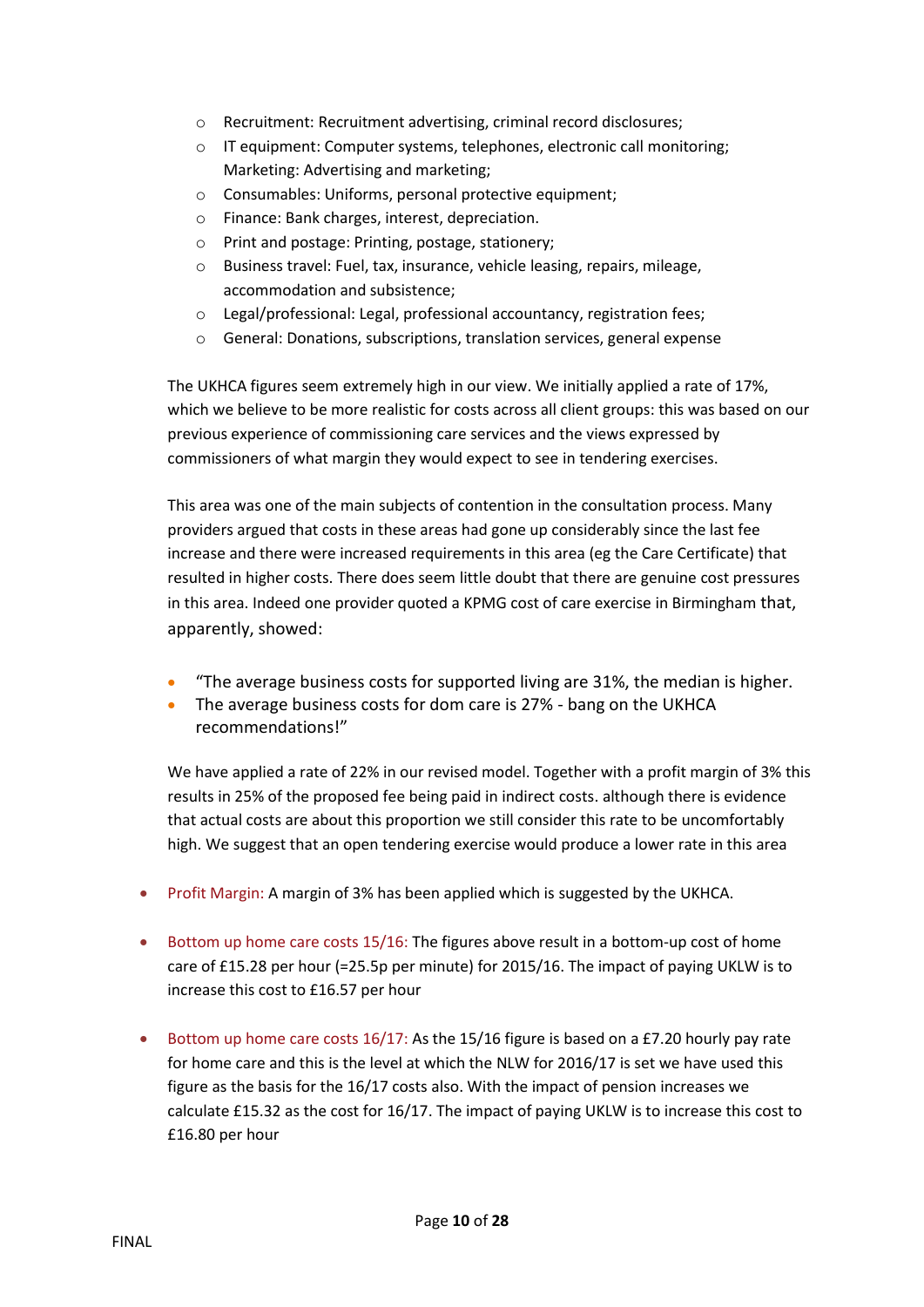- o Recruitment: Recruitment advertising, criminal record disclosures;
- o IT equipment: Computer systems, telephones, electronic call monitoring; Marketing: Advertising and marketing;
- o Consumables: Uniforms, personal protective equipment;
- o Finance: Bank charges, interest, depreciation.
- o Print and postage: Printing, postage, stationery;
- o Business travel: Fuel, tax, insurance, vehicle leasing, repairs, mileage, accommodation and subsistence;
- o Legal/professional: Legal, professional accountancy, registration fees;
- o General: Donations, subscriptions, translation services, general expense

The UKHCA figures seem extremely high in our view. We initially applied a rate of 17%, which we believe to be more realistic for costs across all client groups: this was based on our previous experience of commissioning care services and the views expressed by commissioners of what margin they would expect to see in tendering exercises.

This area was one of the main subjects of contention in the consultation process. Many providers argued that costs in these areas had gone up considerably since the last fee increase and there were increased requirements in this area (eg the Care Certificate) that resulted in higher costs. There does seem little doubt that there are genuine cost pressures in this area. Indeed one provider quoted a KPMG cost of care exercise in Birmingham that, apparently, showed:

- "The average business costs for supported living are 31%, the median is higher.
- The average business costs for dom care is 27% bang on the UKHCA recommendations!"

We have applied a rate of 22% in our revised model. Together with a profit margin of 3% this results in 25% of the proposed fee being paid in indirect costs. although there is evidence that actual costs are about this proportion we still consider this rate to be uncomfortably high. We suggest that an open tendering exercise would produce a lower rate in this area

- Profit Margin: A margin of 3% has been applied which is suggested by the UKHCA.
- Bottom up home care costs 15/16: The figures above result in a bottom-up cost of home care of £15.28 per hour (=25.5p per minute) for 2015/16. The impact of paying UKLW is to increase this cost to £16.57 per hour
- Bottom up home care costs  $16/17$ : As the 15/16 figure is based on a £7.20 hourly pay rate for home care and this is the level at which the NLW for 2016/17 is set we have used this figure as the basis for the 16/17 costs also. With the impact of pension increases we calculate £15.32 as the cost for 16/17. The impact of paying UKLW is to increase this cost to £16.80 per hour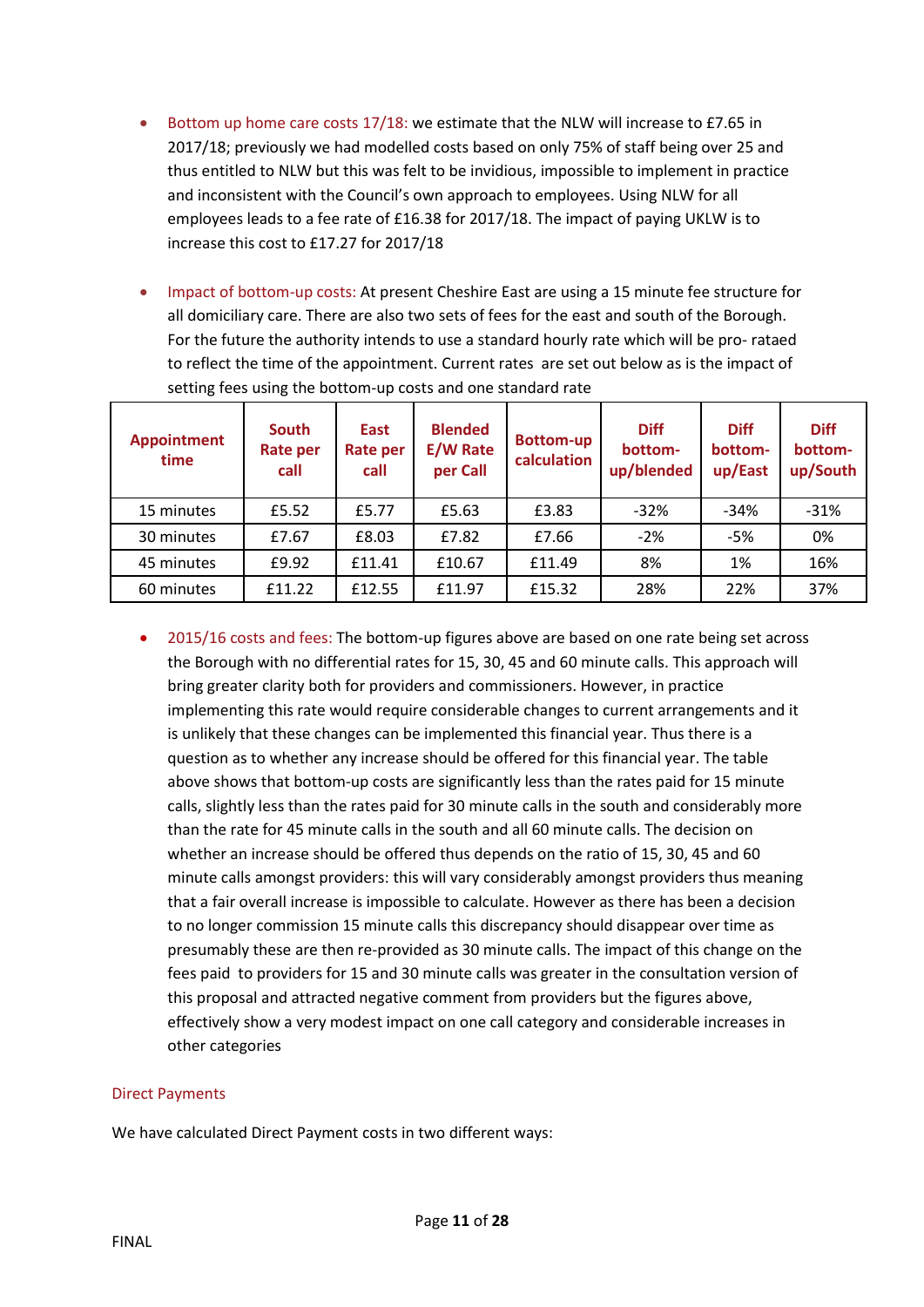- Bottom up home care costs 17/18: we estimate that the NLW will increase to £7.65 in 2017/18; previously we had modelled costs based on only 75% of staff being over 25 and thus entitled to NLW but this was felt to be invidious, impossible to implement in practice and inconsistent with the Council's own approach to employees. Using NLW for all employees leads to a fee rate of £16.38 for 2017/18. The impact of paying UKLW is to increase this cost to £17.27 for 2017/18
- Impact of bottom-up costs: At present Cheshire East are using a 15 minute fee structure for all domiciliary care. There are also two sets of fees for the east and south of the Borough. For the future the authority intends to use a standard hourly rate which will be pro- rataed to reflect the time of the appointment. Current rates are set out below as is the impact of setting fees using the bottom-up costs and one standard rate

| <b>Appointment</b><br>time | South<br><b>Rate per</b><br>call | East<br><b>Rate per</b><br>call | <b>Blended</b><br><b>E/W Rate</b><br>per Call | <b>Bottom-up</b><br>calculation | <b>Diff</b><br>bottom-<br>up/blended | <b>Diff</b><br>bottom-<br>up/East | <b>Diff</b><br>bottom-<br>up/South |
|----------------------------|----------------------------------|---------------------------------|-----------------------------------------------|---------------------------------|--------------------------------------|-----------------------------------|------------------------------------|
| 15 minutes                 | £5.52                            | £5.77                           | £5.63                                         | £3.83                           | $-32%$                               | $-34%$                            | $-31%$                             |
| 30 minutes                 | £7.67                            | £8.03                           | £7.82                                         | £7.66                           | $-2%$                                | $-5%$                             | 0%                                 |
| 45 minutes                 | £9.92                            | £11.41                          | £10.67                                        | £11.49                          | 8%                                   | 1%                                | 16%                                |
| 60 minutes                 | £11.22                           | £12.55                          | £11.97                                        | £15.32                          | 28%                                  | 22%                               | 37%                                |

 2015/16 costs and fees: The bottom-up figures above are based on one rate being set across the Borough with no differential rates for 15, 30, 45 and 60 minute calls. This approach will bring greater clarity both for providers and commissioners. However, in practice implementing this rate would require considerable changes to current arrangements and it is unlikely that these changes can be implemented this financial year. Thus there is a question as to whether any increase should be offered for this financial year. The table above shows that bottom-up costs are significantly less than the rates paid for 15 minute calls, slightly less than the rates paid for 30 minute calls in the south and considerably more than the rate for 45 minute calls in the south and all 60 minute calls. The decision on whether an increase should be offered thus depends on the ratio of 15, 30, 45 and 60 minute calls amongst providers: this will vary considerably amongst providers thus meaning that a fair overall increase is impossible to calculate. However as there has been a decision to no longer commission 15 minute calls this discrepancy should disappear over time as presumably these are then re-provided as 30 minute calls. The impact of this change on the fees paid to providers for 15 and 30 minute calls was greater in the consultation version of this proposal and attracted negative comment from providers but the figures above, effectively show a very modest impact on one call category and considerable increases in other categories

#### Direct Payments

We have calculated Direct Payment costs in two different ways: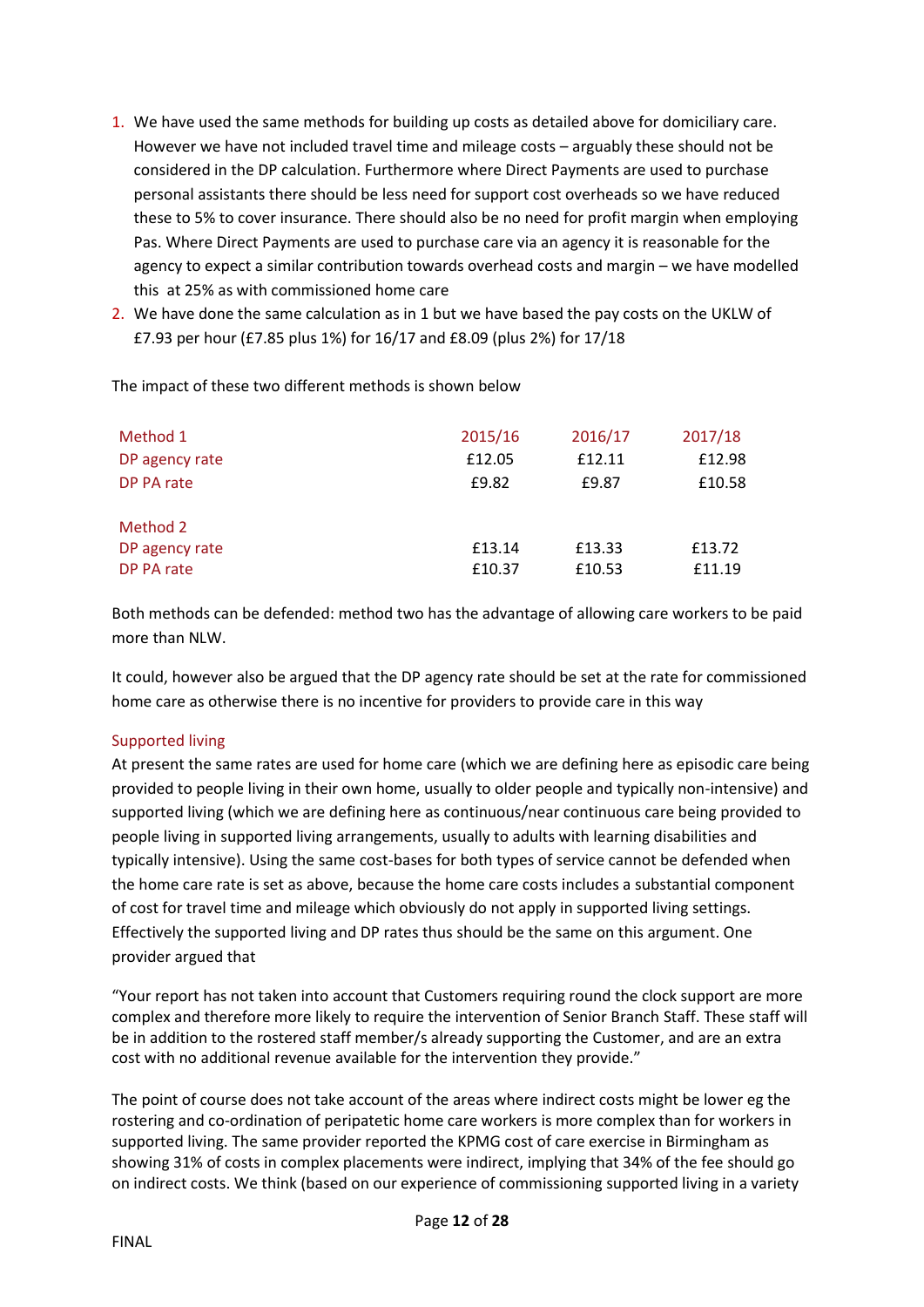- 1. We have used the same methods for building up costs as detailed above for domiciliary care. However we have not included travel time and mileage costs – arguably these should not be considered in the DP calculation. Furthermore where Direct Payments are used to purchase personal assistants there should be less need for support cost overheads so we have reduced these to 5% to cover insurance. There should also be no need for profit margin when employing Pas. Where Direct Payments are used to purchase care via an agency it is reasonable for the agency to expect a similar contribution towards overhead costs and margin – we have modelled this at 25% as with commissioned home care
- 2. We have done the same calculation as in 1 but we have based the pay costs on the UKLW of £7.93 per hour (£7.85 plus 1%) for 16/17 and £8.09 (plus 2%) for 17/18

The impact of these two different methods is shown below

| Method 1       | 2015/16 | 2016/17 | 2017/18 |
|----------------|---------|---------|---------|
| DP agency rate | £12.05  | £12.11  | £12.98  |
| DP PA rate     | £9.82   | £9.87   | £10.58  |
| Method 2       |         |         |         |
| DP agency rate | £13.14  | £13.33  | £13.72  |
| DP PA rate     | £10.37  | £10.53  | £11.19  |

Both methods can be defended: method two has the advantage of allowing care workers to be paid more than NLW.

It could, however also be argued that the DP agency rate should be set at the rate for commissioned home care as otherwise there is no incentive for providers to provide care in this way

## <span id="page-11-0"></span>Supported living

At present the same rates are used for home care (which we are defining here as episodic care being provided to people living in their own home, usually to older people and typically non-intensive) and supported living (which we are defining here as continuous/near continuous care being provided to people living in supported living arrangements, usually to adults with learning disabilities and typically intensive). Using the same cost-bases for both types of service cannot be defended when the home care rate is set as above, because the home care costs includes a substantial component of cost for travel time and mileage which obviously do not apply in supported living settings. Effectively the supported living and DP rates thus should be the same on this argument. One provider argued that

"Your report has not taken into account that Customers requiring round the clock support are more complex and therefore more likely to require the intervention of Senior Branch Staff. These staff will be in addition to the rostered staff member/s already supporting the Customer, and are an extra cost with no additional revenue available for the intervention they provide."

The point of course does not take account of the areas where indirect costs might be lower eg the rostering and co-ordination of peripatetic home care workers is more complex than for workers in supported living. The same provider reported the KPMG cost of care exercise in Birmingham as showing 31% of costs in complex placements were indirect, implying that 34% of the fee should go on indirect costs. We think (based on our experience of commissioning supported living in a variety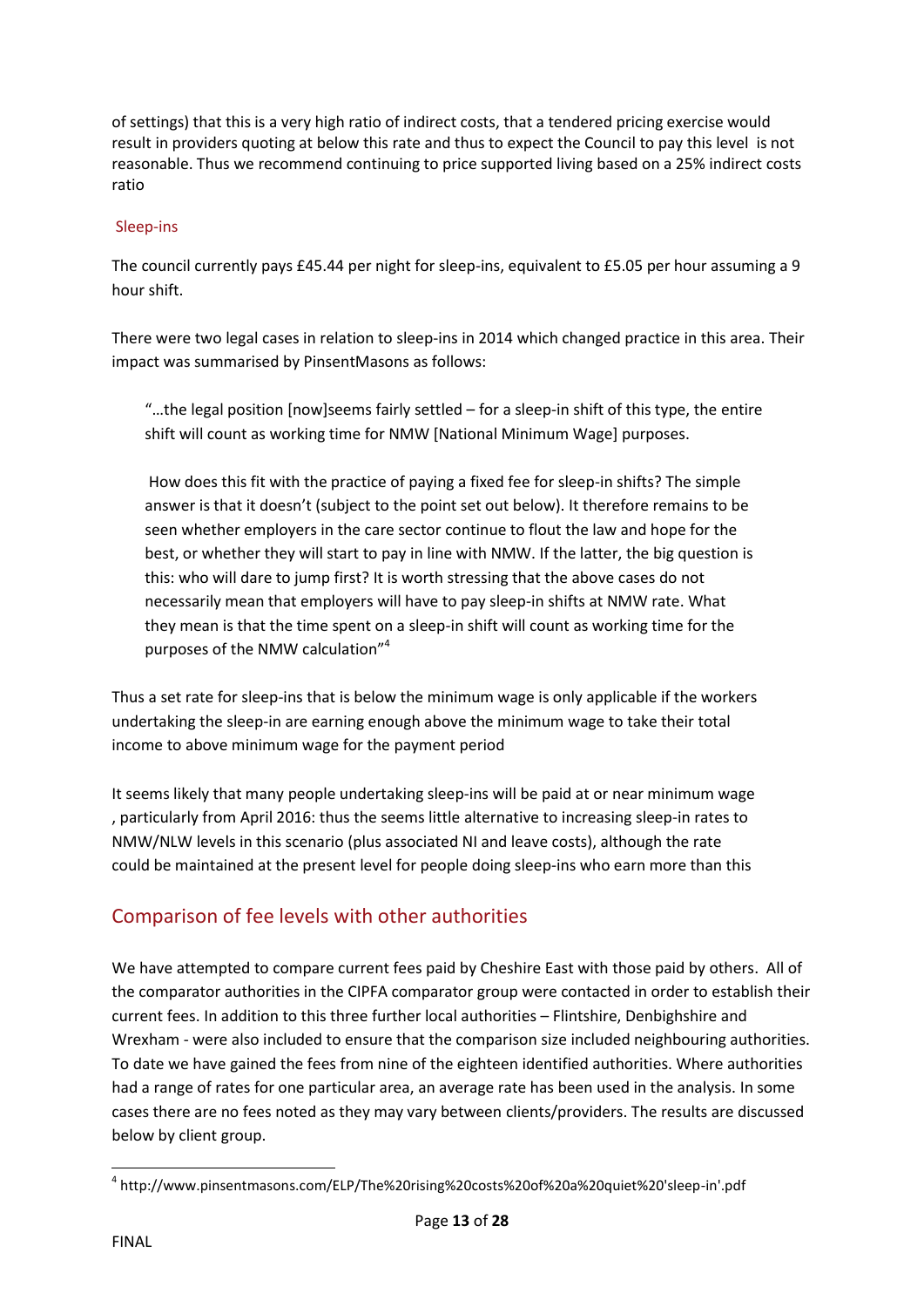of settings) that this is a very high ratio of indirect costs, that a tendered pricing exercise would result in providers quoting at below this rate and thus to expect the Council to pay this level is not reasonable. Thus we recommend continuing to price supported living based on a 25% indirect costs ratio

## Sleep-ins

The council currently pays £45.44 per night for sleep-ins, equivalent to £5.05 per hour assuming a 9 hour shift.

There were two legal cases in relation to sleep-ins in 2014 which changed practice in this area. Their impact was summarised by PinsentMasons as follows:

"...the legal position [now] seems fairly settled  $-$  for a sleep-in shift of this type, the entire shift will count as working time for NMW [National Minimum Wage] purposes.

How does this fit with the practice of paying a fixed fee for sleep-in shifts? The simple answer is that it doesn't (subject to the point set out below). It therefore remains to be seen whether employers in the care sector continue to flout the law and hope for the best, or whether they will start to pay in line with NMW. If the latter, the big question is this: who will dare to jump first? It is worth stressing that the above cases do not necessarily mean that employers will have to pay sleep-in shifts at NMW rate. What they mean is that the time spent on a sleep-in shift will count as working time for the purposes of the NMW calculation"<sup>4</sup>

Thus a set rate for sleep-ins that is below the minimum wage is only applicable if the workers undertaking the sleep-in are earning enough above the minimum wage to take their total income to above minimum wage for the payment period

It seems likely that many people undertaking sleep-ins will be paid at or near minimum wage , particularly from April 2016: thus the seems little alternative to increasing sleep-in rates to NMW/NLW levels in this scenario (plus associated NI and leave costs), although the rate could be maintained at the present level for people doing sleep-ins who earn more than this

# <span id="page-12-0"></span>Comparison of fee levels with other authorities

We have attempted to compare current fees paid by Cheshire East with those paid by others. All of the comparator authorities in the CIPFA comparator group were contacted in order to establish their current fees. In addition to this three further local authorities – Flintshire, Denbighshire and Wrexham - were also included to ensure that the comparison size included neighbouring authorities. To date we have gained the fees from nine of the eighteen identified authorities. Where authorities had a range of rates for one particular area, an average rate has been used in the analysis. In some cases there are no fees noted as they may vary between clients/providers. The results are discussed below by client group.

**<sup>.</sup>** 4 http://www.pinsentmasons.com/ELP/The%20rising%20costs%20of%20a%20quiet%20'sleep-in'.pdf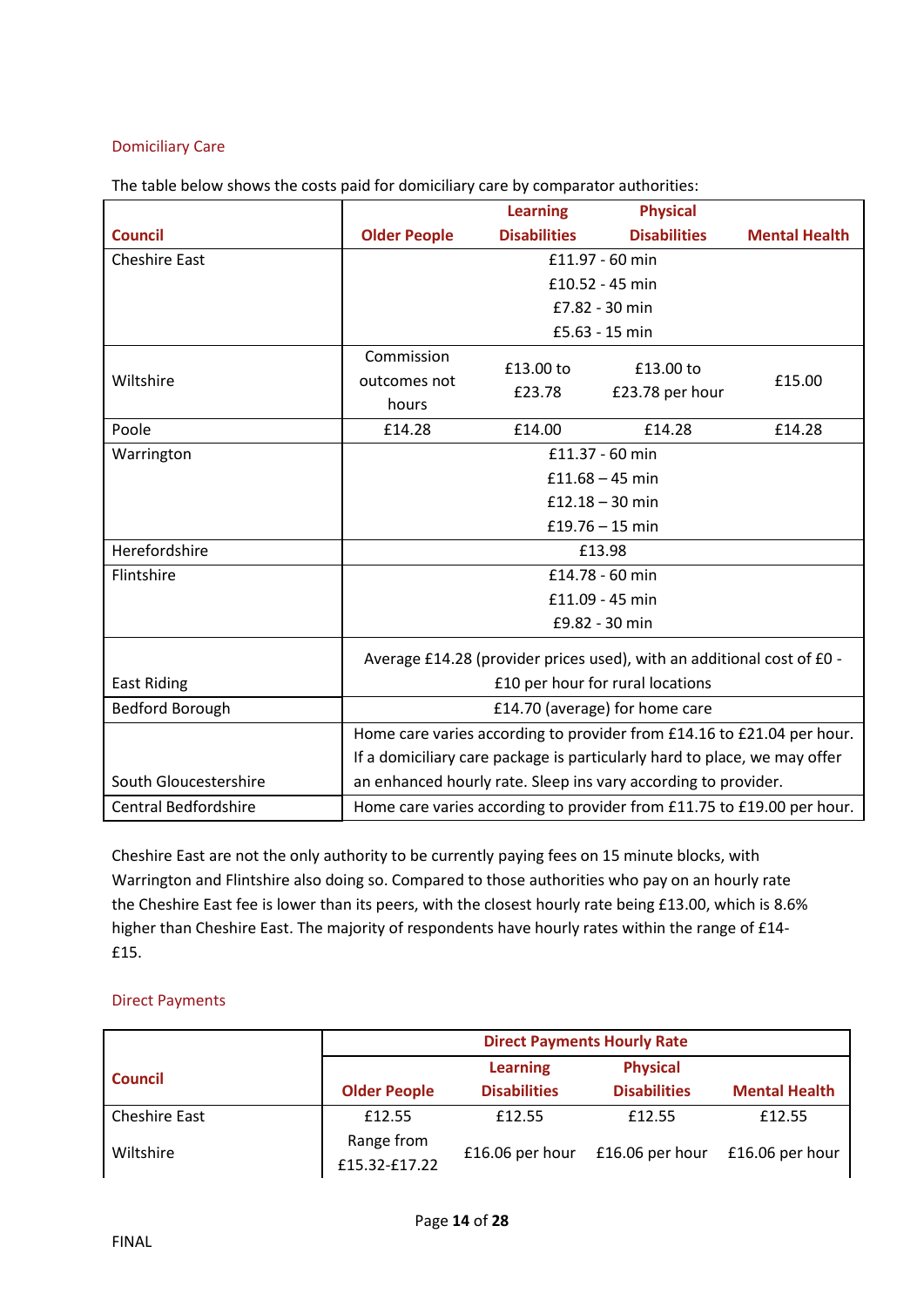## Domiciliary Care

The table below shows the costs paid for domiciliary care by comparator authorities:

|                             |                                                                           | <b>Learning</b>     | <b>Physical</b>     |                      |  |
|-----------------------------|---------------------------------------------------------------------------|---------------------|---------------------|----------------------|--|
| <b>Council</b>              | <b>Older People</b>                                                       | <b>Disabilities</b> | <b>Disabilities</b> | <b>Mental Health</b> |  |
| <b>Cheshire East</b>        | £11.97 - 60 min                                                           |                     |                     |                      |  |
|                             |                                                                           |                     | £10.52 - 45 min     |                      |  |
|                             |                                                                           |                     | £7.82 - 30 min      |                      |  |
|                             |                                                                           |                     | £5.63 - 15 min      |                      |  |
|                             | Commission                                                                | £13.00 to           | £13.00 to           |                      |  |
| Wiltshire                   | outcomes not                                                              | £23.78              | £23.78 per hour     | £15.00               |  |
|                             | hours                                                                     |                     |                     |                      |  |
| Poole                       | £14.28                                                                    | £14.00              | £14.28              | £14.28               |  |
| Warrington                  | £11.37 - 60 min                                                           |                     |                     |                      |  |
|                             |                                                                           |                     | £11.68 $-$ 45 min   |                      |  |
|                             | £12.18 $-$ 30 min                                                         |                     |                     |                      |  |
|                             | £19.76 $-$ 15 min                                                         |                     |                     |                      |  |
| Herefordshire               | £13.98                                                                    |                     |                     |                      |  |
| Flintshire                  | £14.78 - 60 min                                                           |                     |                     |                      |  |
|                             |                                                                           |                     | £11.09 - 45 min     |                      |  |
|                             |                                                                           |                     | £9.82 - 30 min      |                      |  |
|                             | Average £14.28 (provider prices used), with an additional cost of £0 -    |                     |                     |                      |  |
| <b>East Riding</b>          | £10 per hour for rural locations                                          |                     |                     |                      |  |
| Bedford Borough             | £14.70 (average) for home care                                            |                     |                     |                      |  |
|                             | Home care varies according to provider from £14.16 to £21.04 per hour.    |                     |                     |                      |  |
|                             | If a domiciliary care package is particularly hard to place, we may offer |                     |                     |                      |  |
| South Gloucestershire       | an enhanced hourly rate. Sleep ins vary according to provider.            |                     |                     |                      |  |
| <b>Central Bedfordshire</b> | Home care varies according to provider from £11.75 to £19.00 per hour.    |                     |                     |                      |  |

Cheshire East are not the only authority to be currently paying fees on 15 minute blocks, with Warrington and Flintshire also doing so. Compared to those authorities who pay on an hourly rate the Cheshire East fee is lower than its peers, with the closest hourly rate being £13.00, which is 8.6% higher than Cheshire East. The majority of respondents have hourly rates within the range of £14- £15.

## Direct Payments

|                      | <b>Direct Payments Hourly Rate</b> |                     |                     |                      |  |
|----------------------|------------------------------------|---------------------|---------------------|----------------------|--|
| <b>Council</b>       |                                    | <b>Learning</b>     | <b>Physical</b>     |                      |  |
|                      | <b>Older People</b>                | <b>Disabilities</b> | <b>Disabilities</b> | <b>Mental Health</b> |  |
| <b>Cheshire East</b> | £12.55                             | £12.55              | £12.55              | £12.55               |  |
| Wiltshire            | Range from<br>£15.32-£17.22        | £16.06 per hour     | £16.06 per hour     | £16.06 per hour      |  |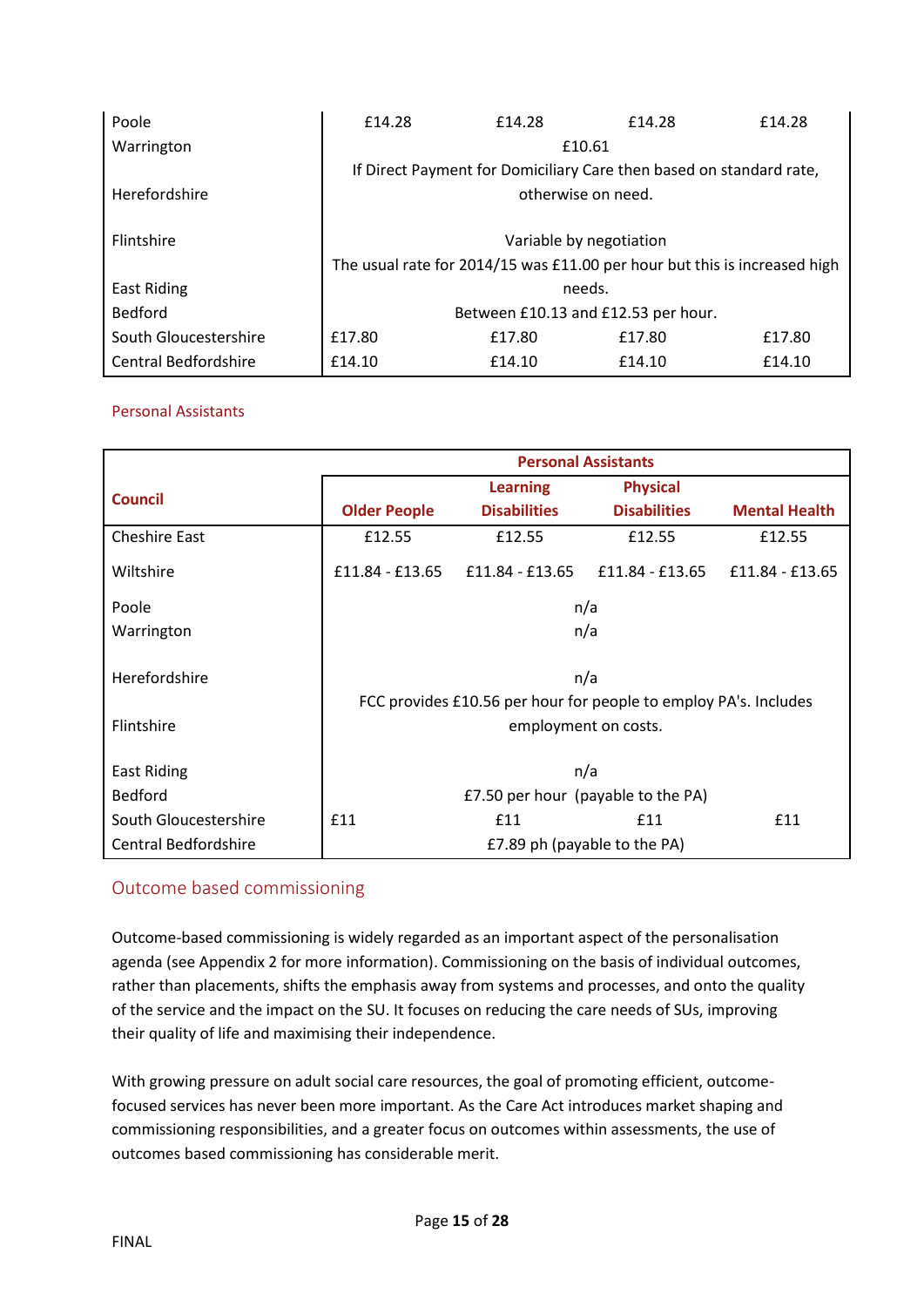| Poole                 | £14.28                                                                    | £14.28 | f14.28                                                              | £14.28 |  |
|-----------------------|---------------------------------------------------------------------------|--------|---------------------------------------------------------------------|--------|--|
| Warrington            | £10.61                                                                    |        |                                                                     |        |  |
|                       |                                                                           |        | If Direct Payment for Domiciliary Care then based on standard rate, |        |  |
| Herefordshire         | otherwise on need.                                                        |        |                                                                     |        |  |
|                       |                                                                           |        |                                                                     |        |  |
| Flintshire            | Variable by negotiation                                                   |        |                                                                     |        |  |
|                       | The usual rate for 2014/15 was £11.00 per hour but this is increased high |        |                                                                     |        |  |
| East Riding           | needs.                                                                    |        |                                                                     |        |  |
| Bedford               | Between £10.13 and £12.53 per hour.                                       |        |                                                                     |        |  |
| South Gloucestershire | £17.80                                                                    | £17.80 | £17.80                                                              | £17.80 |  |
| Central Bedfordshire  | £14.10                                                                    | £14.10 | £14.10                                                              | £14.10 |  |

## Personal Assistants

|                       | <b>Personal Assistants</b>                                       |                     |                     |                      |  |
|-----------------------|------------------------------------------------------------------|---------------------|---------------------|----------------------|--|
| <b>Council</b>        |                                                                  | <b>Learning</b>     | <b>Physical</b>     |                      |  |
|                       | <b>Older People</b>                                              | <b>Disabilities</b> | <b>Disabilities</b> | <b>Mental Health</b> |  |
| <b>Cheshire East</b>  | £12.55                                                           | £12.55              | £12.55              | £12.55               |  |
| Wiltshire             | £11.84 - £13.65                                                  | £11.84 - £13.65     | £11.84 - £13.65     | £11.84 - £13.65      |  |
| Poole                 |                                                                  |                     | n/a                 |                      |  |
| Warrington            | n/a                                                              |                     |                     |                      |  |
| Herefordshire         | n/a                                                              |                     |                     |                      |  |
|                       | FCC provides £10.56 per hour for people to employ PA's. Includes |                     |                     |                      |  |
| Flintshire            | employment on costs.                                             |                     |                     |                      |  |
| East Riding           | n/a                                                              |                     |                     |                      |  |
| <b>Bedford</b>        | £7.50 per hour (payable to the PA)                               |                     |                     |                      |  |
| South Gloucestershire | £11                                                              | £11                 | £11                 | £11                  |  |
| Central Bedfordshire  | £7.89 ph (payable to the PA)                                     |                     |                     |                      |  |

## <span id="page-14-0"></span>Outcome based commissioning

Outcome-based commissioning is widely regarded as an important aspect of the personalisation agenda (see Appendix 2 for more information). Commissioning on the basis of individual outcomes, rather than placements, shifts the emphasis away from systems and processes, and onto the quality of the service and the impact on the SU. It focuses on reducing the care needs of SUs, improving their quality of life and maximising their independence.

With growing pressure on adult social care resources, the goal of promoting efficient, outcomefocused services has never been more important. As the Care Act introduces market shaping and commissioning responsibilities, and a greater focus on outcomes within assessments, the use of outcomes based commissioning has considerable merit.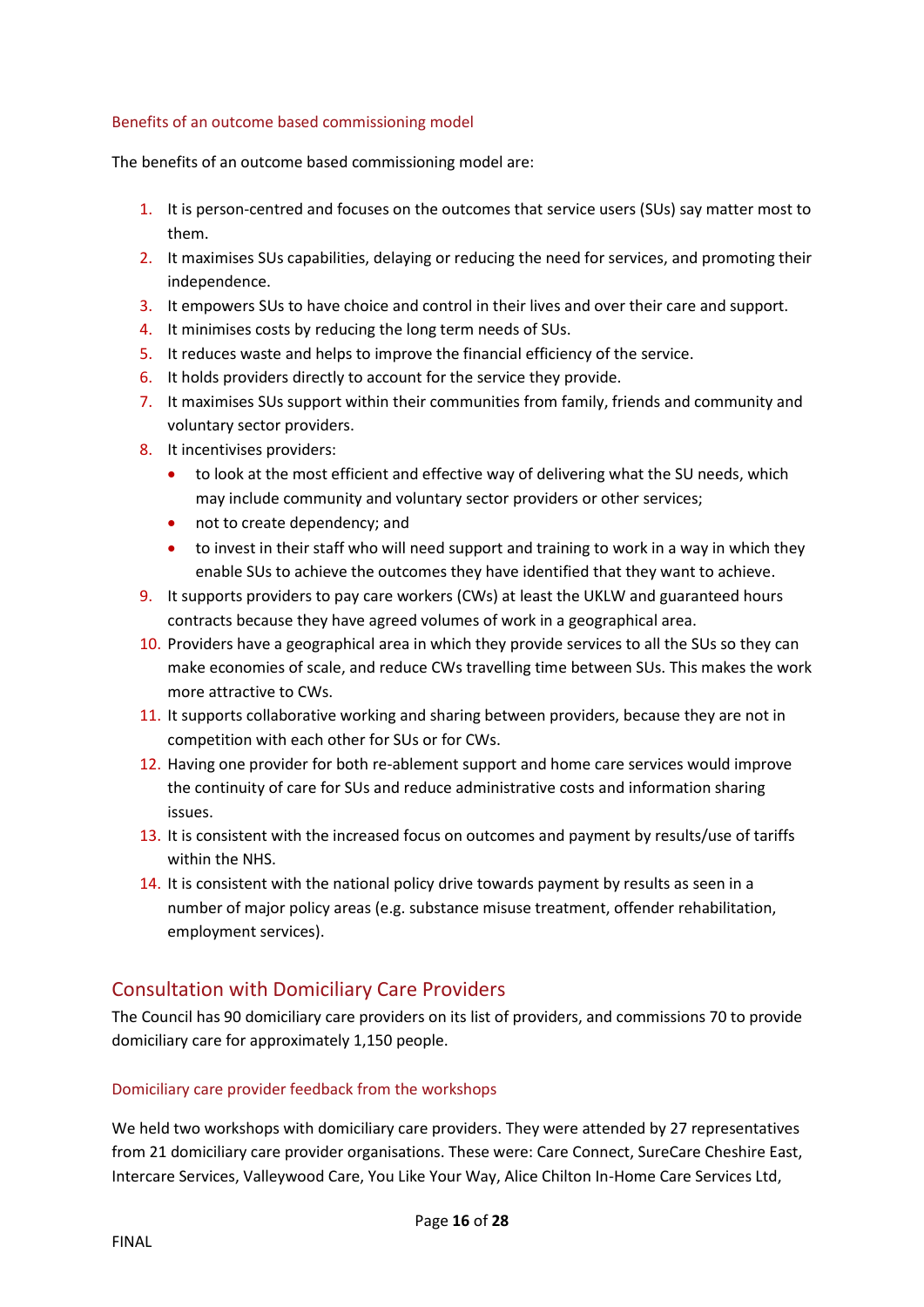#### Benefits of an outcome based commissioning model

The benefits of an outcome based commissioning model are:

- 1. It is person-centred and focuses on the outcomes that service users (SUs) say matter most to them.
- 2. It maximises SUs capabilities, delaying or reducing the need for services, and promoting their independence.
- 3. It empowers SUs to have choice and control in their lives and over their care and support.
- 4. It minimises costs by reducing the long term needs of SUs.
- 5. It reduces waste and helps to improve the financial efficiency of the service.
- 6. It holds providers directly to account for the service they provide.
- 7. It maximises SUs support within their communities from family, friends and community and voluntary sector providers.
- 8. It incentivises providers:
	- to look at the most efficient and effective way of delivering what the SU needs, which may include community and voluntary sector providers or other services;
	- not to create dependency; and
	- to invest in their staff who will need support and training to work in a way in which they enable SUs to achieve the outcomes they have identified that they want to achieve.
- 9. It supports providers to pay care workers (CWs) at least the UKLW and guaranteed hours contracts because they have agreed volumes of work in a geographical area.
- 10. Providers have a geographical area in which they provide services to all the SUs so they can make economies of scale, and reduce CWs travelling time between SUs. This makes the work more attractive to CWs.
- 11. It supports collaborative working and sharing between providers, because they are not in competition with each other for SUs or for CWs.
- 12. Having one provider for both re-ablement support and home care services would improve the continuity of care for SUs and reduce administrative costs and information sharing issues.
- 13. It is consistent with the increased focus on outcomes and payment by results/use of tariffs within the NHS.
- 14. It is consistent with the national policy drive towards payment by results as seen in a number of major policy areas (e.g. substance misuse treatment, offender rehabilitation, employment services).

# <span id="page-15-0"></span>Consultation with Domiciliary Care Providers

The Council has 90 domiciliary care providers on its list of providers, and commissions 70 to provide domiciliary care for approximately 1,150 people.

## Domiciliary care provider feedback from the workshops

We held two workshops with domiciliary care providers. They were attended by 27 representatives from 21 domiciliary care provider organisations. These were: Care Connect, SureCare Cheshire East, Intercare Services, Valleywood Care, You Like Your Way, Alice Chilton In-Home Care Services Ltd,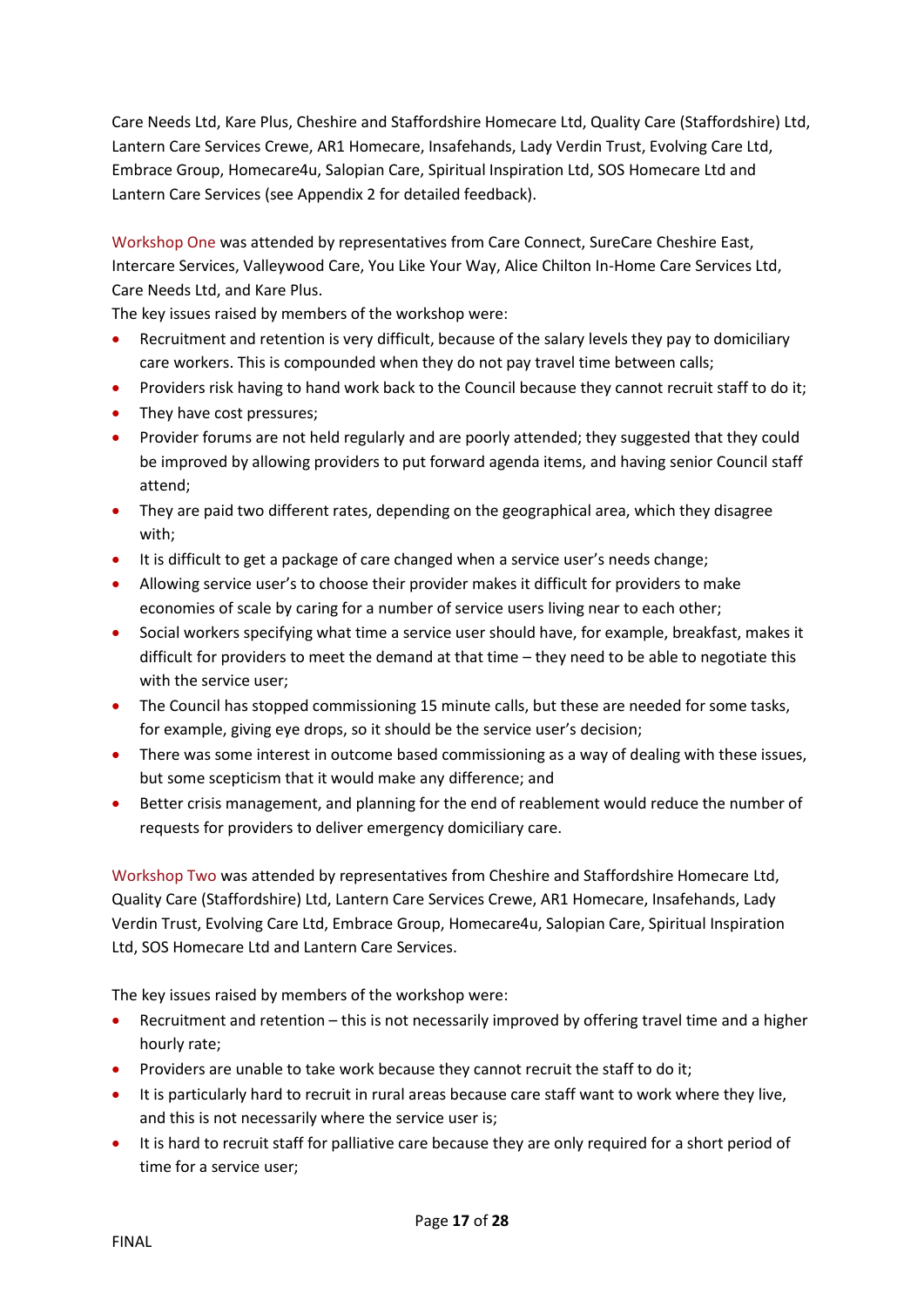Care Needs Ltd, Kare Plus, Cheshire and Staffordshire Homecare Ltd, Quality Care (Staffordshire) Ltd, Lantern Care Services Crewe, AR1 Homecare, Insafehands, Lady Verdin Trust, Evolving Care Ltd, Embrace Group, Homecare4u, Salopian Care, Spiritual Inspiration Ltd, SOS Homecare Ltd and Lantern Care Services (see Appendix 2 for detailed feedback).

Workshop One was attended by representatives from Care Connect, SureCare Cheshire East, Intercare Services, Valleywood Care, You Like Your Way, Alice Chilton In-Home Care Services Ltd, Care Needs Ltd, and Kare Plus.

The key issues raised by members of the workshop were:

- Recruitment and retention is very difficult, because of the salary levels they pay to domiciliary care workers. This is compounded when they do not pay travel time between calls;
- Providers risk having to hand work back to the Council because they cannot recruit staff to do it;
- They have cost pressures;
- Provider forums are not held regularly and are poorly attended; they suggested that they could be improved by allowing providers to put forward agenda items, and having senior Council staff attend;
- They are paid two different rates, depending on the geographical area, which they disagree with;
- It is difficult to get a package of care changed when a service user's needs change;
- Allowing service user's to choose their provider makes it difficult for providers to make economies of scale by caring for a number of service users living near to each other;
- Social workers specifying what time a service user should have, for example, breakfast, makes it difficult for providers to meet the demand at that time – they need to be able to negotiate this with the service user;
- The Council has stopped commissioning 15 minute calls, but these are needed for some tasks, for example, giving eye drops, so it should be the service user's decision;
- There was some interest in outcome based commissioning as a way of dealing with these issues, but some scepticism that it would make any difference; and
- Better crisis management, and planning for the end of reablement would reduce the number of requests for providers to deliver emergency domiciliary care.

Workshop Two was attended by representatives from Cheshire and Staffordshire Homecare Ltd, Quality Care (Staffordshire) Ltd, Lantern Care Services Crewe, AR1 Homecare, Insafehands, Lady Verdin Trust, Evolving Care Ltd, Embrace Group, Homecare4u, Salopian Care, Spiritual Inspiration Ltd, SOS Homecare Ltd and Lantern Care Services.

The key issues raised by members of the workshop were:

- Recruitment and retention this is not necessarily improved by offering travel time and a higher hourly rate;
- Providers are unable to take work because they cannot recruit the staff to do it;
- It is particularly hard to recruit in rural areas because care staff want to work where they live, and this is not necessarily where the service user is;
- It is hard to recruit staff for palliative care because they are only required for a short period of time for a service user;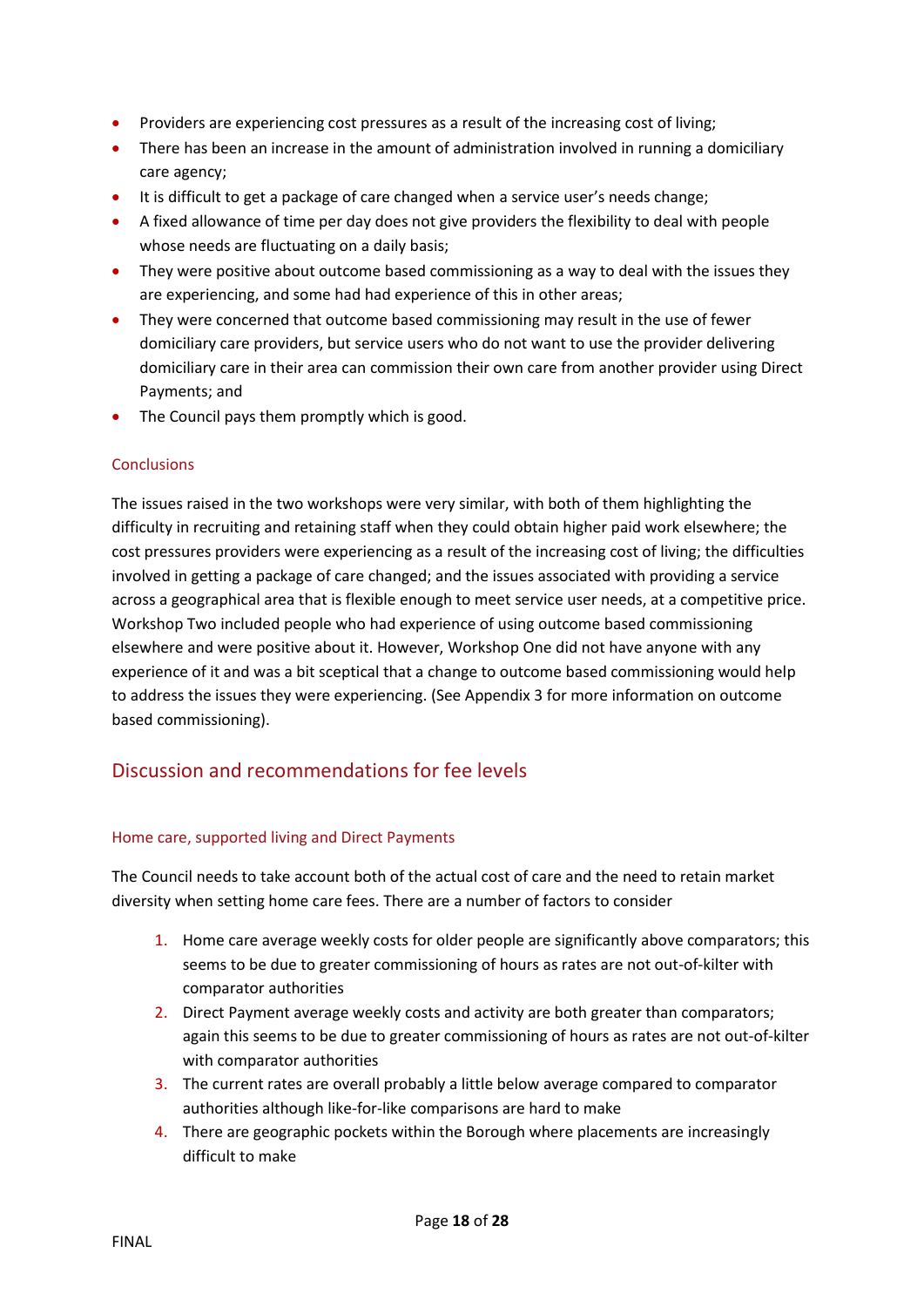- Providers are experiencing cost pressures as a result of the increasing cost of living;
- There has been an increase in the amount of administration involved in running a domiciliary care agency;
- It is difficult to get a package of care changed when a service user's needs change;
- A fixed allowance of time per day does not give providers the flexibility to deal with people whose needs are fluctuating on a daily basis;
- They were positive about outcome based commissioning as a way to deal with the issues they are experiencing, and some had had experience of this in other areas;
- They were concerned that outcome based commissioning may result in the use of fewer domiciliary care providers, but service users who do not want to use the provider delivering domiciliary care in their area can commission their own care from another provider using Direct Payments; and
- The Council pays them promptly which is good.

## **Conclusions**

The issues raised in the two workshops were very similar, with both of them highlighting the difficulty in recruiting and retaining staff when they could obtain higher paid work elsewhere; the cost pressures providers were experiencing as a result of the increasing cost of living; the difficulties involved in getting a package of care changed; and the issues associated with providing a service across a geographical area that is flexible enough to meet service user needs, at a competitive price. Workshop Two included people who had experience of using outcome based commissioning elsewhere and were positive about it. However, Workshop One did not have anyone with any experience of it and was a bit sceptical that a change to outcome based commissioning would help to address the issues they were experiencing. (See Appendix 3 for more information on outcome based commissioning).

## <span id="page-17-0"></span>Discussion and recommendations for fee levels

#### Home care, supported living and Direct Payments

The Council needs to take account both of the actual cost of care and the need to retain market diversity when setting home care fees. There are a number of factors to consider

- 1. Home care average weekly costs for older people are significantly above comparators; this seems to be due to greater commissioning of hours as rates are not out-of-kilter with comparator authorities
- 2. Direct Payment average weekly costs and activity are both greater than comparators; again this seems to be due to greater commissioning of hours as rates are not out-of-kilter with comparator authorities
- 3. The current rates are overall probably a little below average compared to comparator authorities although like-for-like comparisons are hard to make
- 4. There are geographic pockets within the Borough where placements are increasingly difficult to make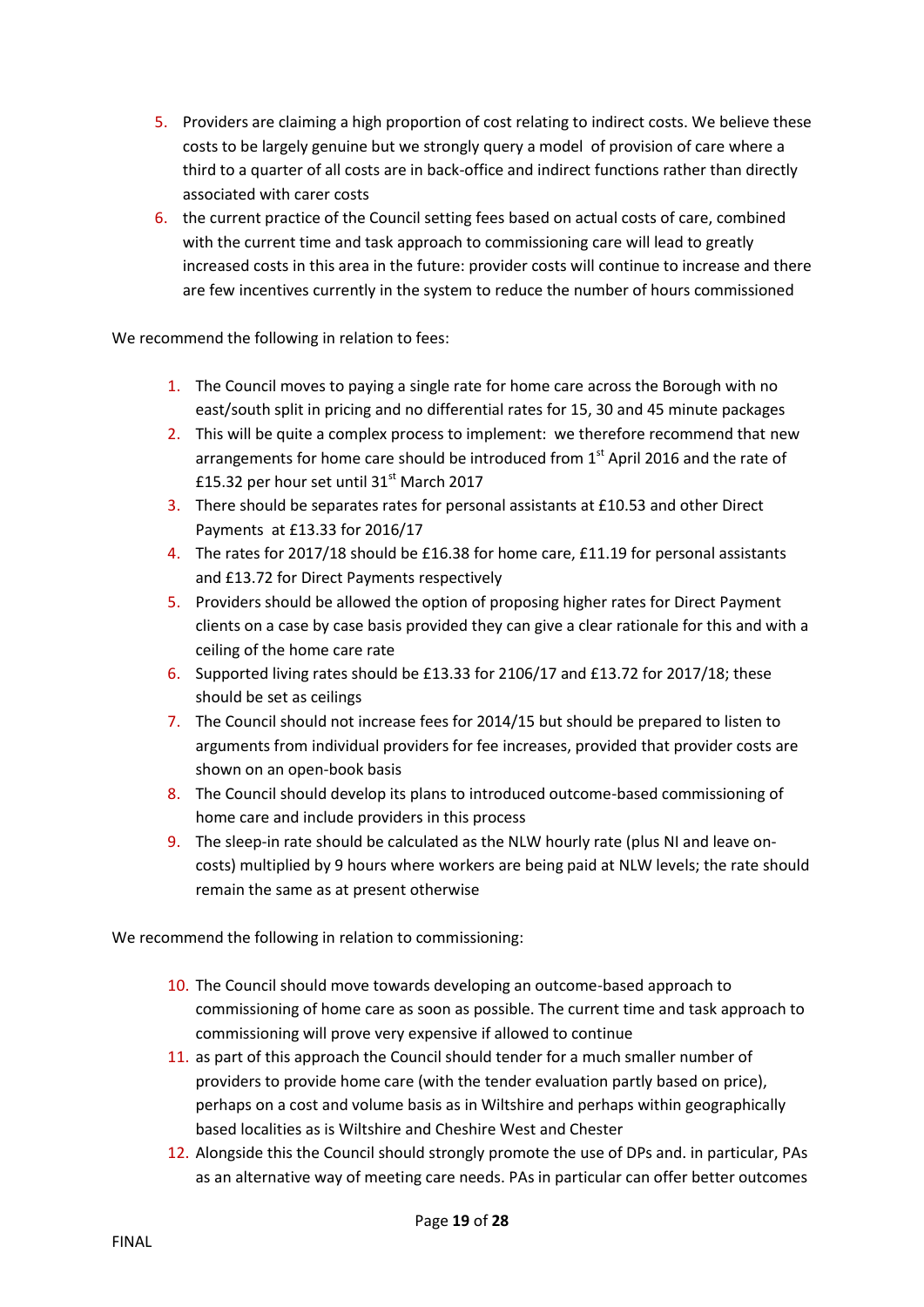- 5. Providers are claiming a high proportion of cost relating to indirect costs. We believe these costs to be largely genuine but we strongly query a model of provision of care where a third to a quarter of all costs are in back-office and indirect functions rather than directly associated with carer costs
- 6. the current practice of the Council setting fees based on actual costs of care, combined with the current time and task approach to commissioning care will lead to greatly increased costs in this area in the future: provider costs will continue to increase and there are few incentives currently in the system to reduce the number of hours commissioned

We recommend the following in relation to fees:

- 1. The Council moves to paying a single rate for home care across the Borough with no east/south split in pricing and no differential rates for 15, 30 and 45 minute packages
- 2. This will be quite a complex process to implement: we therefore recommend that new arrangements for home care should be introduced from  $1<sup>st</sup>$  April 2016 and the rate of £15.32 per hour set until 31 $\mathrm{^{st}}$  March 2017
- 3. There should be separates rates for personal assistants at £10.53 and other Direct Payments at £13.33 for 2016/17
- 4. The rates for 2017/18 should be £16.38 for home care, £11.19 for personal assistants and £13.72 for Direct Payments respectively
- 5. Providers should be allowed the option of proposing higher rates for Direct Payment clients on a case by case basis provided they can give a clear rationale for this and with a ceiling of the home care rate
- 6. Supported living rates should be £13.33 for 2106/17 and £13.72 for 2017/18; these should be set as ceilings
- 7. The Council should not increase fees for 2014/15 but should be prepared to listen to arguments from individual providers for fee increases, provided that provider costs are shown on an open-book basis
- 8. The Council should develop its plans to introduced outcome-based commissioning of home care and include providers in this process
- 9. The sleep-in rate should be calculated as the NLW hourly rate (plus NI and leave oncosts) multiplied by 9 hours where workers are being paid at NLW levels; the rate should remain the same as at present otherwise

We recommend the following in relation to commissioning:

- 10. The Council should move towards developing an outcome-based approach to commissioning of home care as soon as possible. The current time and task approach to commissioning will prove very expensive if allowed to continue
- 11. as part of this approach the Council should tender for a much smaller number of providers to provide home care (with the tender evaluation partly based on price), perhaps on a cost and volume basis as in Wiltshire and perhaps within geographically based localities as is Wiltshire and Cheshire West and Chester
- 12. Alongside this the Council should strongly promote the use of DPs and. in particular, PAs as an alternative way of meeting care needs. PAs in particular can offer better outcomes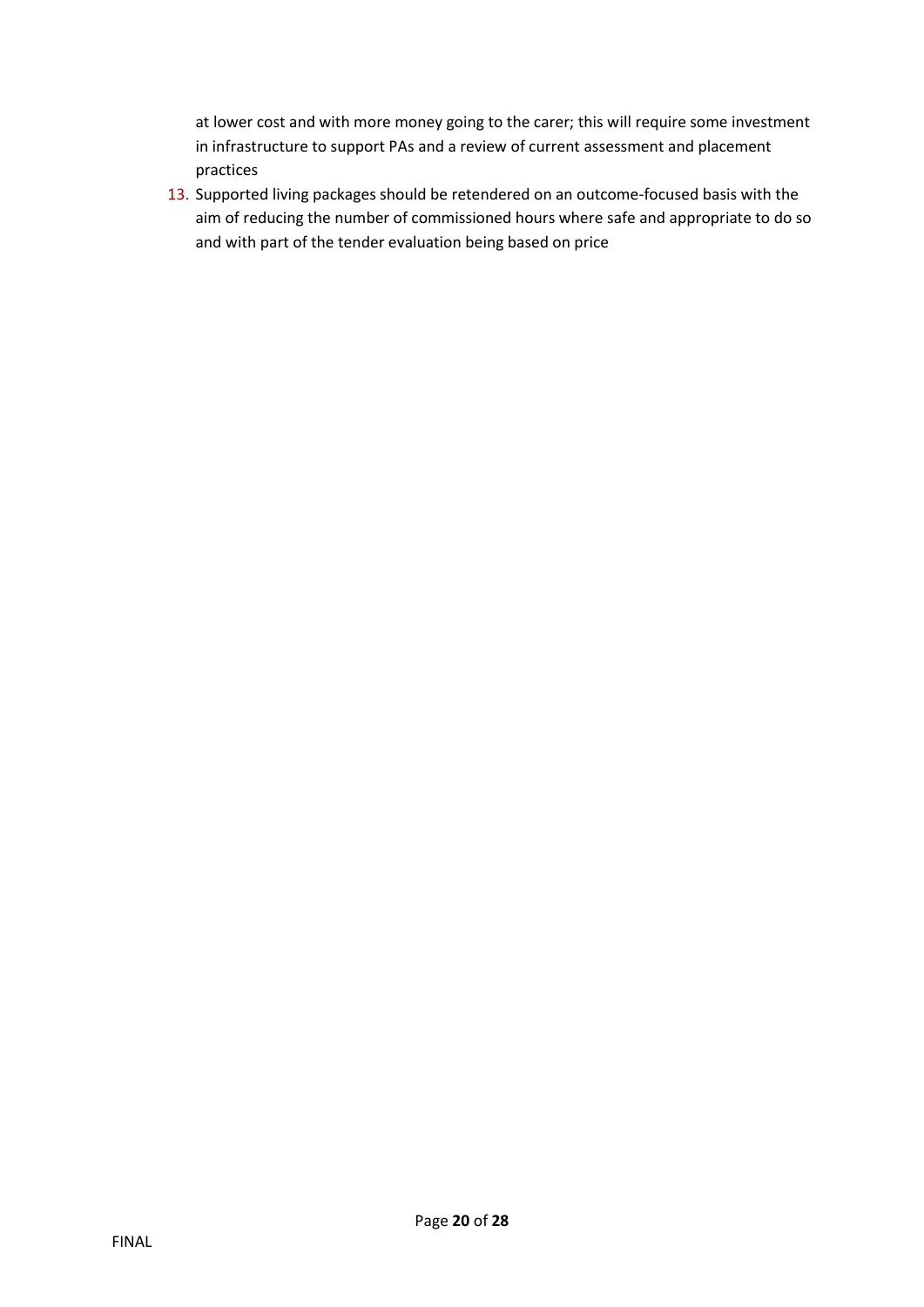at lower cost and with more money going to the carer; this will require some investment in infrastructure to support PAs and a review of current assessment and placement practices

13. Supported living packages should be retendered on an outcome-focused basis with the aim of reducing the number of commissioned hours where safe and appropriate to do so and with part of the tender evaluation being based on price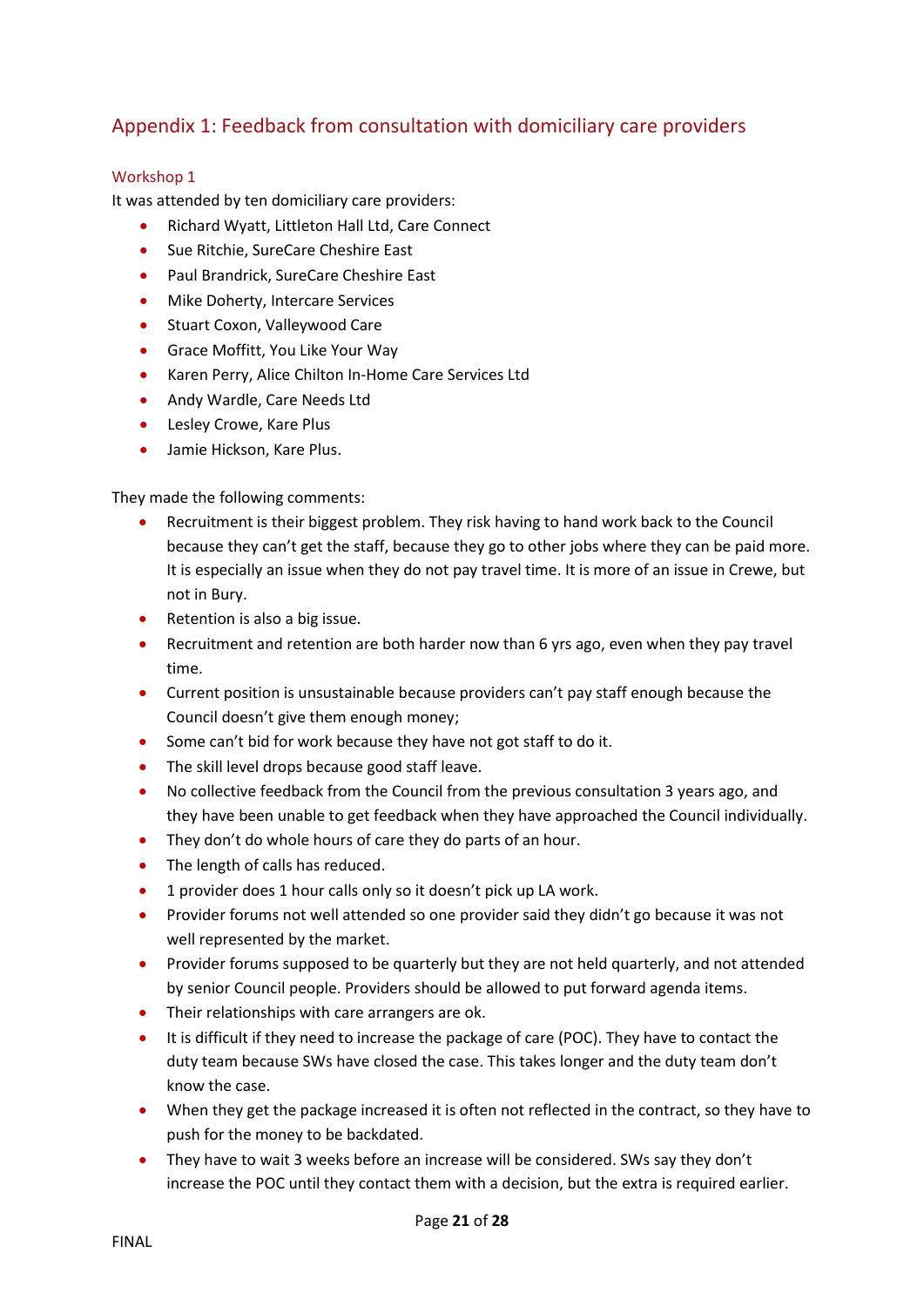# <span id="page-20-0"></span>Appendix 1: Feedback from consultation with domiciliary care providers

## <span id="page-20-1"></span>Workshop 1

It was attended by ten domiciliary care providers:

- Richard Wyatt, Littleton Hall Ltd, Care Connect
- **Sue Ritchie, SureCare Cheshire East**
- **•** Paul Brandrick, SureCare Cheshire East
- Mike Doherty, Intercare Services
- Stuart Coxon, Valleywood Care
- **•** Grace Moffitt, You Like Your Way
- Karen Perry, Alice Chilton In-Home Care Services Ltd
- Andy Wardle, Care Needs Ltd
- Lesley Crowe, Kare Plus
- Jamie Hickson, Kare Plus.

They made the following comments:

- Recruitment is their biggest problem. They risk having to hand work back to the Council because they can't get the staff, because they go to other jobs where they can be paid more. It is especially an issue when they do not pay travel time. It is more of an issue in Crewe, but not in Bury.
- Retention is also a big issue.
- Recruitment and retention are both harder now than 6 yrs ago, even when they pay travel time.
- Current position is unsustainable because providers can't pay staff enough because the Council doesn't give them enough money;
- Some can't bid for work because they have not got staff to do it.
- The skill level drops because good staff leave.
- No collective feedback from the Council from the previous consultation 3 years ago, and they have been unable to get feedback when they have approached the Council individually.
- They don't do whole hours of care they do parts of an hour.
- The length of calls has reduced.
- 1 provider does 1 hour calls only so it doesn't pick up LA work.
- Provider forums not well attended so one provider said they didn't go because it was not well represented by the market.
- Provider forums supposed to be quarterly but they are not held quarterly, and not attended by senior Council people. Providers should be allowed to put forward agenda items.
- Their relationships with care arrangers are ok.
- It is difficult if they need to increase the package of care (POC). They have to contact the duty team because SWs have closed the case. This takes longer and the duty team don't know the case.
- When they get the package increased it is often not reflected in the contract, so they have to push for the money to be backdated.
- They have to wait 3 weeks before an increase will be considered. SWs say they don't increase the POC until they contact them with a decision, but the extra is required earlier.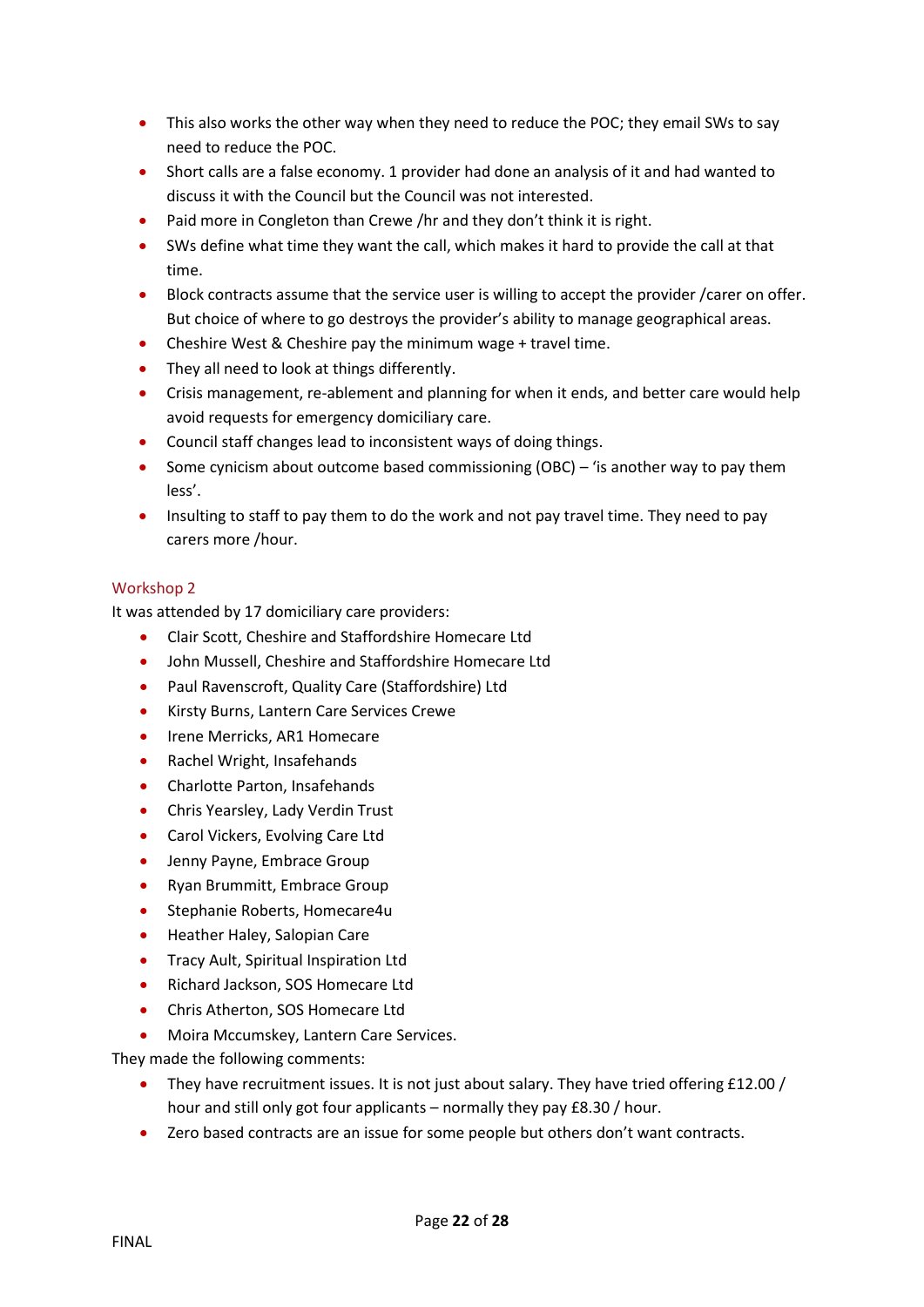- This also works the other way when they need to reduce the POC; they email SWs to say need to reduce the POC.
- Short calls are a false economy. 1 provider had done an analysis of it and had wanted to discuss it with the Council but the Council was not interested.
- Paid more in Congleton than Crewe /hr and they don't think it is right.
- SWs define what time they want the call, which makes it hard to provide the call at that time.
- Block contracts assume that the service user is willing to accept the provider /carer on offer. But choice of where to go destroys the provider's ability to manage geographical areas.
- Cheshire West & Cheshire pay the minimum wage + travel time.
- They all need to look at things differently.
- Crisis management, re-ablement and planning for when it ends, and better care would help avoid requests for emergency domiciliary care.
- Council staff changes lead to inconsistent ways of doing things.
- Some cynicism about outcome based commissioning (OBC) 'is another way to pay them less'.
- Insulting to staff to pay them to do the work and not pay travel time. They need to pay carers more /hour.

## <span id="page-21-0"></span>Workshop 2

It was attended by 17 domiciliary care providers:

- Clair Scott, Cheshire and Staffordshire Homecare Ltd
- John Mussell, Cheshire and Staffordshire Homecare Ltd
- Paul Ravenscroft, Quality Care (Staffordshire) Ltd
- **•** Kirsty Burns, Lantern Care Services Crewe
- Irene Merricks, AR1 Homecare
- Rachel Wright, Insafehands
- Charlotte Parton, Insafehands
- **•** Chris Yearsley, Lady Verdin Trust
- Carol Vickers, Evolving Care Ltd
- Jenny Payne, Embrace Group
- Ryan Brummitt, Embrace Group
- Stephanie Roberts, Homecare4u
- **•** Heather Haley, Salopian Care
- **•** Tracy Ault, Spiritual Inspiration Ltd
- Richard Jackson, SOS Homecare Ltd
- Chris Atherton, SOS Homecare Ltd
- Moira Mccumskey, Lantern Care Services.

They made the following comments:

- They have recruitment issues. It is not just about salary. They have tried offering £12.00 / hour and still only got four applicants – normally they pay £8.30 / hour.
- Zero based contracts are an issue for some people but others don't want contracts.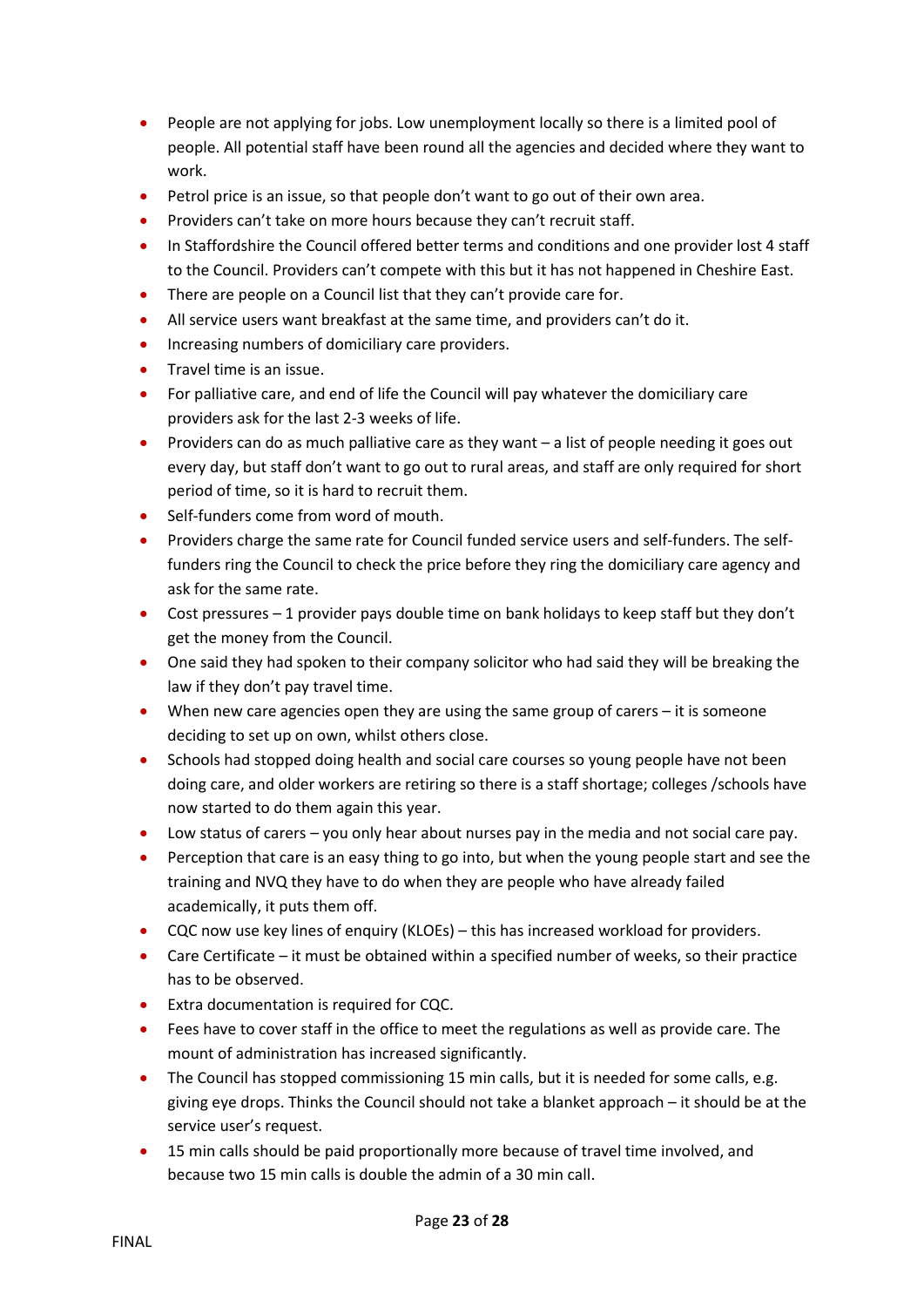- People are not applying for jobs. Low unemployment locally so there is a limited pool of people. All potential staff have been round all the agencies and decided where they want to work.
- Petrol price is an issue, so that people don't want to go out of their own area.
- Providers can't take on more hours because they can't recruit staff.
- In Staffordshire the Council offered better terms and conditions and one provider lost 4 staff to the Council. Providers can't compete with this but it has not happened in Cheshire East.
- There are people on a Council list that they can't provide care for.
- All service users want breakfast at the same time, and providers can't do it.
- Increasing numbers of domiciliary care providers.
- Travel time is an issue.
- For palliative care, and end of life the Council will pay whatever the domiciliary care providers ask for the last 2-3 weeks of life.
- Providers can do as much palliative care as they want a list of people needing it goes out every day, but staff don't want to go out to rural areas, and staff are only required for short period of time, so it is hard to recruit them.
- Self-funders come from word of mouth.
- Providers charge the same rate for Council funded service users and self-funders. The selffunders ring the Council to check the price before they ring the domiciliary care agency and ask for the same rate.
- Cost pressures 1 provider pays double time on bank holidays to keep staff but they don't get the money from the Council.
- One said they had spoken to their company solicitor who had said they will be breaking the law if they don't pay travel time.
- When new care agencies open they are using the same group of carers it is someone deciding to set up on own, whilst others close.
- Schools had stopped doing health and social care courses so young people have not been doing care, and older workers are retiring so there is a staff shortage; colleges /schools have now started to do them again this year.
- Low status of carers you only hear about nurses pay in the media and not social care pay.
- Perception that care is an easy thing to go into, but when the young people start and see the training and NVQ they have to do when they are people who have already failed academically, it puts them off.
- CQC now use key lines of enquiry (KLOEs) this has increased workload for providers.
- Care Certificate it must be obtained within a specified number of weeks, so their practice has to be observed.
- **•** Extra documentation is required for CQC.
- Fees have to cover staff in the office to meet the regulations as well as provide care. The mount of administration has increased significantly.
- The Council has stopped commissioning 15 min calls, but it is needed for some calls, e.g. giving eye drops. Thinks the Council should not take a blanket approach – it should be at the service user's request.
- 15 min calls should be paid proportionally more because of travel time involved, and because two 15 min calls is double the admin of a 30 min call.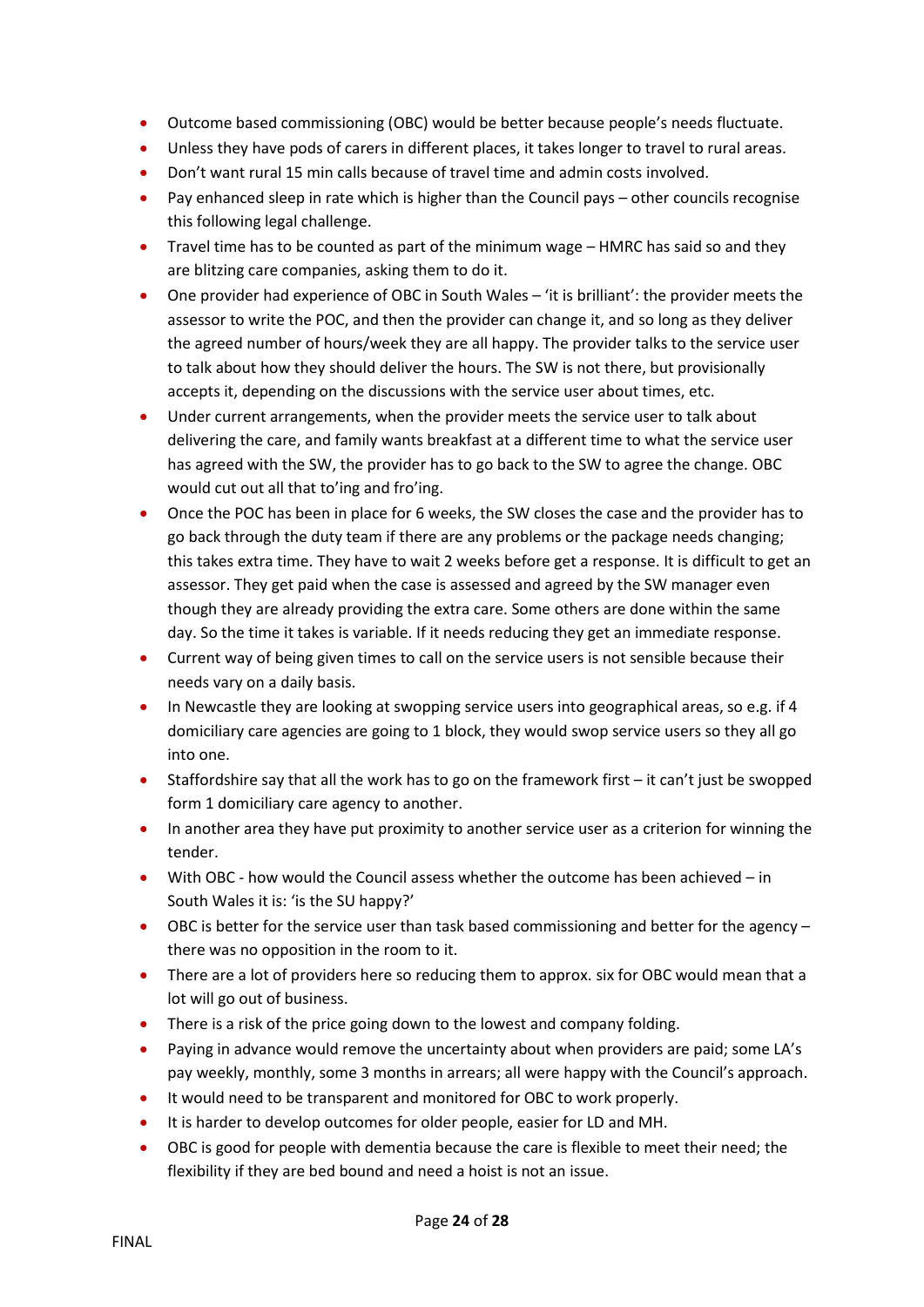- Outcome based commissioning (OBC) would be better because people's needs fluctuate.
- Unless they have pods of carers in different places, it takes longer to travel to rural areas.
- Don't want rural 15 min calls because of travel time and admin costs involved.
- Pay enhanced sleep in rate which is higher than the Council pays other councils recognise this following legal challenge.
- Travel time has to be counted as part of the minimum wage HMRC has said so and they are blitzing care companies, asking them to do it.
- One provider had experience of OBC in South Wales 'it is brilliant': the provider meets the assessor to write the POC, and then the provider can change it, and so long as they deliver the agreed number of hours/week they are all happy. The provider talks to the service user to talk about how they should deliver the hours. The SW is not there, but provisionally accepts it, depending on the discussions with the service user about times, etc.
- Under current arrangements, when the provider meets the service user to talk about delivering the care, and family wants breakfast at a different time to what the service user has agreed with the SW, the provider has to go back to the SW to agree the change. OBC would cut out all that to'ing and fro'ing.
- Once the POC has been in place for 6 weeks, the SW closes the case and the provider has to go back through the duty team if there are any problems or the package needs changing; this takes extra time. They have to wait 2 weeks before get a response. It is difficult to get an assessor. They get paid when the case is assessed and agreed by the SW manager even though they are already providing the extra care. Some others are done within the same day. So the time it takes is variable. If it needs reducing they get an immediate response.
- Current way of being given times to call on the service users is not sensible because their needs vary on a daily basis.
- In Newcastle they are looking at swopping service users into geographical areas, so e.g. if 4 domiciliary care agencies are going to 1 block, they would swop service users so they all go into one.
- Staffordshire say that all the work has to go on the framework first it can't just be swopped form 1 domiciliary care agency to another.
- In another area they have put proximity to another service user as a criterion for winning the tender.
- With OBC how would the Council assess whether the outcome has been achieved in South Wales it is: 'is the SU happy?'
- OBC is better for the service user than task based commissioning and better for the agency there was no opposition in the room to it.
- There are a lot of providers here so reducing them to approx. six for OBC would mean that a lot will go out of business.
- There is a risk of the price going down to the lowest and company folding.
- Paying in advance would remove the uncertainty about when providers are paid; some LA's pay weekly, monthly, some 3 months in arrears; all were happy with the Council's approach.
- It would need to be transparent and monitored for OBC to work properly.
- It is harder to develop outcomes for older people, easier for LD and MH.
- OBC is good for people with dementia because the care is flexible to meet their need; the flexibility if they are bed bound and need a hoist is not an issue.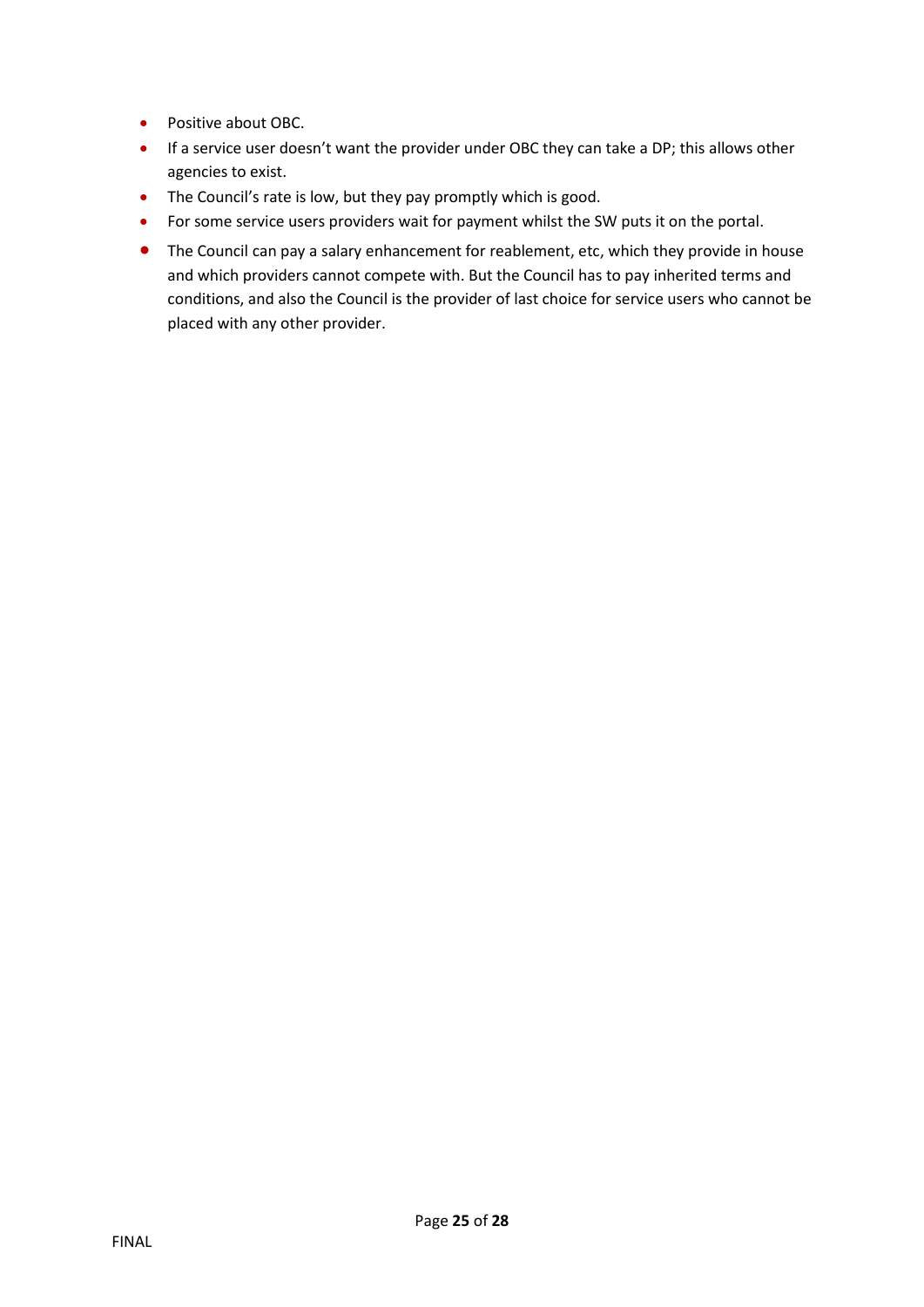- Positive about OBC.
- If a service user doesn't want the provider under OBC they can take a DP; this allows other agencies to exist.
- The Council's rate is low, but they pay promptly which is good.
- For some service users providers wait for payment whilst the SW puts it on the portal.
- The Council can pay a salary enhancement for reablement, etc, which they provide in house and which providers cannot compete with. But the Council has to pay inherited terms and conditions, and also the Council is the provider of last choice for service users who cannot be placed with any other provider.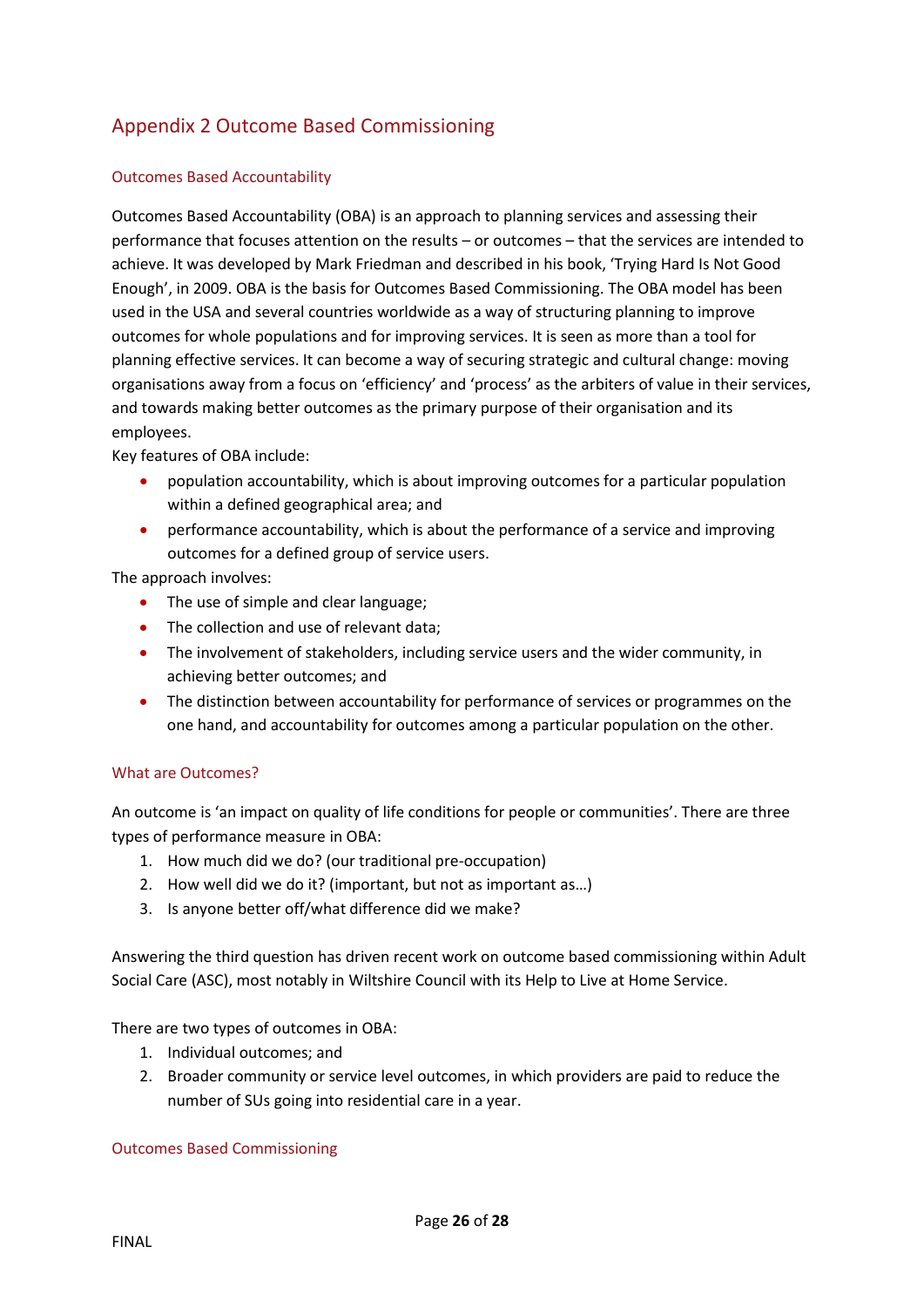# <span id="page-25-0"></span>Appendix 2 Outcome Based Commissioning

## Outcomes Based Accountability

Outcomes Based Accountability (OBA) is an approach to planning services and assessing their performance that focuses attention on the results – or outcomes – that the services are intended to achieve. It was developed by Mark Friedman and described in his book, 'Trying Hard Is Not Good Enough', in 2009. OBA is the basis for Outcomes Based Commissioning. The OBA model has been used in the USA and several countries worldwide as a way of structuring planning to improve outcomes for whole populations and for improving services. It is seen as more than a tool for planning effective services. It can become a way of securing strategic and cultural change: moving organisations away from a focus on 'efficiency' and 'process' as the arbiters of value in their services, and towards making better outcomes as the primary purpose of their organisation and its employees.

Key features of OBA include:

- population accountability, which is about improving outcomes for a particular population within a defined geographical area; and
- performance accountability, which is about the performance of a service and improving outcomes for a defined group of service users.

The approach involves:

- The use of simple and clear language;
- The collection and use of relevant data;
- The involvement of stakeholders, including service users and the wider community, in achieving better outcomes; and
- The distinction between accountability for performance of services or programmes on the one hand, and accountability for outcomes among a particular population on the other.

## What are Outcomes?

An outcome is 'an impact on quality of life conditions for people or communities'. There are three types of performance measure in OBA:

- 1. How much did we do? (our traditional pre-occupation)
- 2. How well did we do it? (important, but not as important as…)
- 3. Is anyone better off/what difference did we make?

Answering the third question has driven recent work on outcome based commissioning within Adult Social Care (ASC), most notably in Wiltshire Council with its Help to Live at Home Service.

There are two types of outcomes in OBA:

- 1. Individual outcomes; and
- 2. Broader community or service level outcomes, in which providers are paid to reduce the number of SUs going into residential care in a year.

#### Outcomes Based Commissioning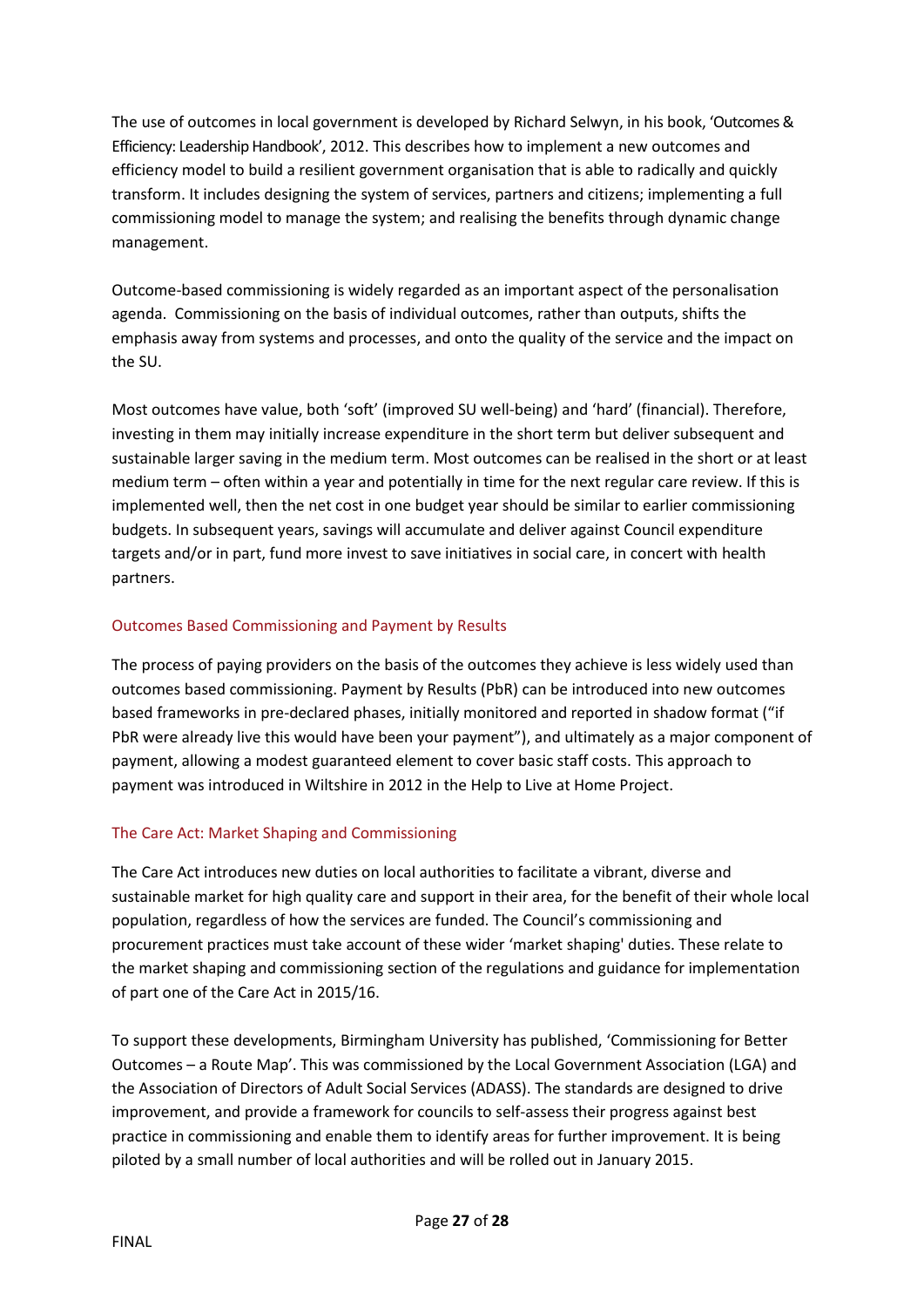The use of outcomes in local government is developed by [Richard](http://www.blurb.co.uk/user/flossiezoo) Selwyn, in his book, 'Outcomes & Efficiency: Leadership Handbook', 2012. This describes how to implement a new outcomes and efficiency model to build a resilient government organisation that is able to radically and quickly transform. It includes designing the system of services, partners and citizens; implementing a full commissioning model to manage the system; and realising the benefits through dynamic change management.

Outcome-based commissioning is widely regarded as an important aspect of the personalisation agenda. Commissioning on the basis of individual outcomes, rather than outputs, shifts the emphasis away from systems and processes, and onto the quality of the service and the impact on the SU.

Most outcomes have value, both 'soft' (improved SU well-being) and 'hard' (financial). Therefore, investing in them may initially increase expenditure in the short term but deliver subsequent and sustainable larger saving in the medium term. Most outcomes can be realised in the short or at least medium term – often within a year and potentially in time for the next regular care review. If this is implemented well, then the net cost in one budget year should be similar to earlier commissioning budgets. In subsequent years, savings will accumulate and deliver against Council expenditure targets and/or in part, fund more invest to save initiatives in social care, in concert with health partners.

## Outcomes Based Commissioning and Payment by Results

The process of paying providers on the basis of the outcomes they achieve is less widely used than outcomes based commissioning. Payment by Results (PbR) can be introduced into new outcomes based frameworks in pre-declared phases, initially monitored and reported in shadow format ("if PbR were already live this would have been your payment"), and ultimately as a major component of payment, allowing a modest guaranteed element to cover basic staff costs. This approach to payment was introduced in Wiltshire in 2012 in the Help to Live at Home Project.

## The Care Act: Market Shaping and Commissioning

The Care Act introduces new duties on local authorities to facilitate a vibrant, diverse and sustainable market for high quality care and support in their area, for the benefit of their whole local population, regardless of how the services are funded. The Council's commissioning and procurement practices must take account of these wider 'market shaping' duties. These relate to the [market shaping and commissioning](http://careandsupportregs.dh.gov.uk/category/market-shaping) section of the regulations and guidance for implementation of part one of the Care Act in 2015/16.

To support these developments, Birmingham University has published, 'Commissioning for Better Outcomes – a Route Map'. This was commissioned by the Local Government Association (LGA) and the Association of Directors of Adult Social Services (ADASS). The standards are designed to drive improvement, and provide a framework for councils to self-assess their progress against best practice in commissioning and enable them to identify areas for further improvement. It is being piloted by a small number of local authorities and will be rolled out in January 2015.